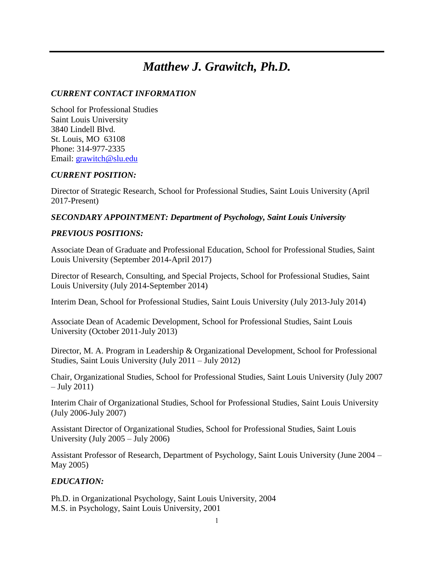# *Matthew J. Grawitch, Ph.D.*

# *CURRENT CONTACT INFORMATION*

School for Professional Studies Saint Louis University 3840 Lindell Blvd. St. Louis, MO 63108 Phone: 314-977-2335 Email: [grawitch@slu.edu](mailto:grawitch@slu.edu)

#### *CURRENT POSITION:*

Director of Strategic Research, School for Professional Studies, Saint Louis University (April 2017-Present)

# *SECONDARY APPOINTMENT: Department of Psychology, Saint Louis University*

# *PREVIOUS POSITIONS:*

Associate Dean of Graduate and Professional Education, School for Professional Studies, Saint Louis University (September 2014-April 2017)

Director of Research, Consulting, and Special Projects, School for Professional Studies, Saint Louis University (July 2014-September 2014)

Interim Dean, School for Professional Studies, Saint Louis University (July 2013-July 2014)

Associate Dean of Academic Development, School for Professional Studies, Saint Louis University (October 2011-July 2013)

Director, M. A. Program in Leadership & Organizational Development, School for Professional Studies, Saint Louis University (July 2011 – July 2012)

Chair, Organizational Studies, School for Professional Studies, Saint Louis University (July 2007  $-$  July 2011)

Interim Chair of Organizational Studies, School for Professional Studies, Saint Louis University (July 2006-July 2007)

Assistant Director of Organizational Studies, School for Professional Studies, Saint Louis University (July 2005 – July 2006)

Assistant Professor of Research, Department of Psychology, Saint Louis University (June 2004 – May 2005)

# *EDUCATION:*

Ph.D. in Organizational Psychology, Saint Louis University, 2004 M.S. in Psychology, Saint Louis University, 2001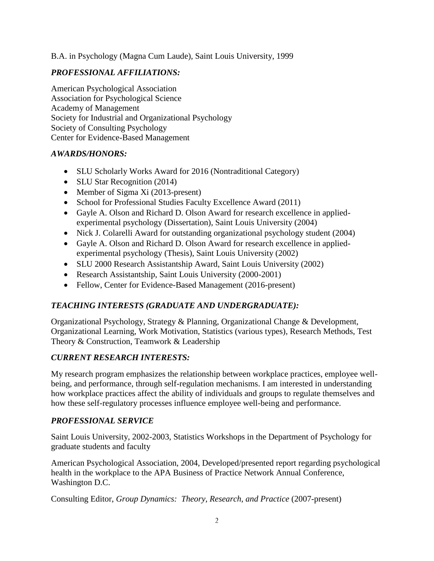B.A. in Psychology (Magna Cum Laude), Saint Louis University, 1999

# *PROFESSIONAL AFFILIATIONS:*

American Psychological Association Association for Psychological Science Academy of Management Society for Industrial and Organizational Psychology Society of Consulting Psychology Center for Evidence-Based Management

# *AWARDS/HONORS:*

- SLU Scholarly Works Award for 2016 (Nontraditional Category)
- SLU Star Recognition (2014)
- Member of Sigma Xi (2013-present)
- School for Professional Studies Faculty Excellence Award (2011)
- Gayle A. Olson and Richard D. Olson Award for research excellence in appliedexperimental psychology (Dissertation), Saint Louis University (2004)
- Nick J. Colarelli Award for outstanding organizational psychology student (2004)
- Gayle A. Olson and Richard D. Olson Award for research excellence in appliedexperimental psychology (Thesis), Saint Louis University (2002)
- SLU 2000 Research Assistantship Award, Saint Louis University (2002)
- Research Assistantship, Saint Louis University (2000-2001)
- Fellow, Center for Evidence-Based Management (2016-present)

# *TEACHING INTERESTS (GRADUATE AND UNDERGRADUATE):*

Organizational Psychology, Strategy & Planning, Organizational Change & Development, Organizational Learning, Work Motivation, Statistics (various types), Research Methods, Test Theory & Construction, Teamwork & Leadership

# *CURRENT RESEARCH INTERESTS:*

My research program emphasizes the relationship between workplace practices, employee wellbeing, and performance, through self-regulation mechanisms. I am interested in understanding how workplace practices affect the ability of individuals and groups to regulate themselves and how these self-regulatory processes influence employee well-being and performance.

# *PROFESSIONAL SERVICE*

Saint Louis University, 2002-2003, Statistics Workshops in the Department of Psychology for graduate students and faculty

American Psychological Association, 2004, Developed/presented report regarding psychological health in the workplace to the APA Business of Practice Network Annual Conference, Washington D.C.

Consulting Editor, *Group Dynamics: Theory, Research, and Practice* (2007-present)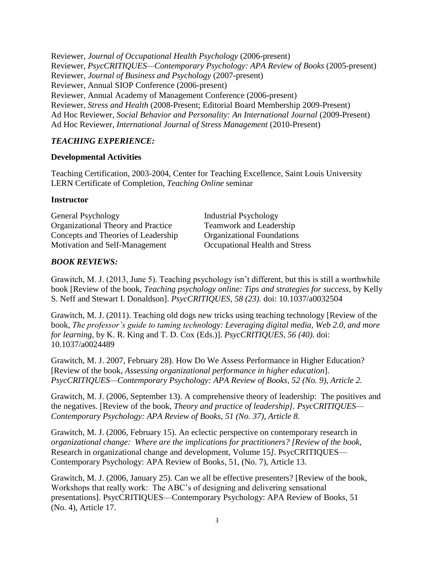Reviewer, *Journal of Occupational Health Psychology* (2006-present) Reviewer, *PsycCRITIQUES—Contemporary Psychology: APA Review of Books* (2005-present) Reviewer, *Journal of Business and Psychology* (2007-present) Reviewer, Annual SIOP Conference (2006-present) Reviewer, Annual Academy of Management Conference (2006-present) Reviewer, *Stress and Health* (2008-Present; Editorial Board Membership 2009-Present) Ad Hoc Reviewer, *Social Behavior and Personality: An International Journal (2009-Present)* Ad Hoc Reviewer, *International Journal of Stress Management* (2010-Present)

# *TEACHING EXPERIENCE:*

### **Developmental Activities**

Teaching Certification, 2003-2004, Center for Teaching Excellence, Saint Louis University LERN Certificate of Completion, *Teaching Online* seminar

#### **Instructor**

General Psychology Industrial Psychology Organizational Theory and Practice Teamwork and Leadership Concepts and Theories of Leadership Organizational Foundations Motivation and Self-Management Occupational Health and Stress

# *BOOK REVIEWS:*

Grawitch, M. J. (2013, June 5). Teaching psychology isn't different, but this is still a worthwhile book [Review of the book, *Teaching psychology online: Tips and strategies for success*, by Kelly S. Neff and Stewart I. Donaldson]. *PsycCRITIQUES, 58 (23).* doi: 10.1037/a0032504

Grawitch, M. J. (2011). Teaching old dogs new tricks using teaching technology [Review of the book, *The professor's guide to taming technology: Leveraging digital media, Web 2.0, and more for learning*, by K. R. King and T. D. Cox (Eds.)]. *PsycCRITIQUES, 56 (40).* doi: 10.1037/a0024489

Grawitch, M. J. 2007, February 28). How Do We Assess Performance in Higher Education? [Review of the book, *Assessing organizational performance in higher education*]. *PsycCRITIQUES—Contemporary Psychology: APA Review of Books, 52 (No. 9), Article 2.*

Grawitch, M. J. (2006, September 13). A comprehensive theory of leadership: The positives and the negatives. [Review of the book, *Theory and practice of leadership]. PsycCRITIQUES— Contemporary Psychology: APA Review of Books, 51 (No. 37), Article 8.*

Grawitch, M. J. (2006, February 15). An eclectic perspective on contemporary research in *organizational change: Where are the implications for practitioners? [Review of the book,* Research in organizational change and development, Volume 15*].* PsycCRITIQUES— Contemporary Psychology: APA Review of Books, 51, (No. 7), Article 13.

Grawitch, M. J. (2006, January 25). Can we all be effective presenters? [Review of the book, Workshops that really work: The ABC's of designing and delivering sensational presentations]. PsycCRITIQUES—Contemporary Psychology: APA Review of Books, 51 (No. 4), Article 17.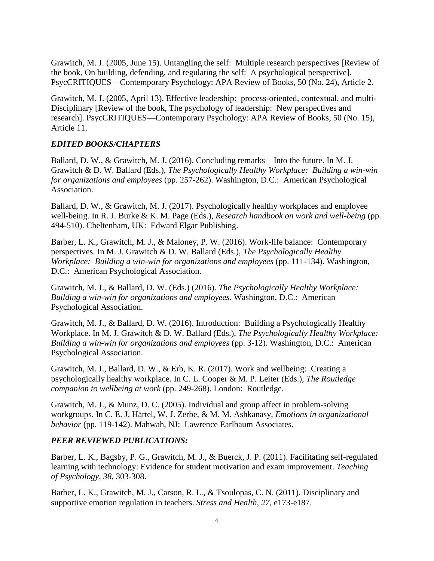Grawitch, M. J. (2005, June 15). Untangling the self: Multiple research perspectives [Review of the book, On building, defending, and regulating the self: A psychological perspective]. PsycCRITIQUES—Contemporary Psychology: APA Review of Books, 50 (No. 24), Article 2.

Grawitch, M. J. (2005, April 13). Effective leadership: process-oriented, contextual, and multi-Disciplinary [Review of the book, The psychology of leadership: New perspectives and research]. PsycCRITIQUES—Contemporary Psychology: APA Review of Books, 50 (No. 15), Article 11.

### *EDITED BOOKS/CHAPTERS*

Ballard, D. W., & Grawitch, M. J. (2016). Concluding remarks – Into the future. In M. J. Grawitch & D. W. Ballard (Eds.), *The Psychologically Healthy Workplace: Building a win-win for organizations and employees* (pp. 257-262). Washington, D.C.: American Psychological Association.

Ballard, D. W., & Grawitch, M. J. (2017). Psychologically healthy workplaces and employee well-being. In R. J. Burke & K. M. Page (Eds.), *Research handbook on work and well-being* (pp. 494-510). Cheltenham, UK: Edward Elgar Publishing.

Barber, L. K., Grawitch, M. J., & Maloney, P. W. (2016). Work-life balance: Contemporary perspectives. In M. J. Grawitch & D. W. Ballard (Eds.), *The Psychologically Healthy Workplace: Building a win-win for organizations and employees* (pp. 111-134). Washington, D.C.: American Psychological Association.

Grawitch, M. J., & Ballard, D. W. (Eds.) (2016). *The Psychologically Healthy Workplace: Building a win-win for organizations and employees.* Washington, D.C.: American Psychological Association.

Grawitch, M. J., & Ballard, D. W. (2016). Introduction: Building a Psychologically Healthy Workplace. In M. J. Grawitch & D. W. Ballard (Eds.), *The Psychologically Healthy Workplace: Building a win-win for organizations and employees* (pp. 3-12). Washington, D.C.: American Psychological Association.

Grawitch, M. J., Ballard, D. W., & Erb, K. R. (2017). Work and wellbeing: Creating a psychologically healthy workplace. In C. L. Cooper & M. P. Leiter (Eds.), *The Routledge companion to wellbeing at work* (pp. 249-268). London: Routledge.

Grawitch, M. J., & Munz, D. C. (2005). Individual and group affect in problem-solving workgroups. In C. E. J. Härtel, W. J. Zerbe, & M. M. Ashkanasy, *Emotions in organizational behavior* (pp. 119-142). Mahwah, NJ: Lawrence Earlbaum Associates.

#### *PEER REVIEWED PUBLICATIONS:*

Barber, L. K., Bagsby, P. G., Grawitch, M. J., & Buerck, J. P. (2011). Facilitating self-regulated learning with technology: Evidence for student motivation and exam improvement. *Teaching of Psychology, 38,* 303-308*.*

Barber, L. K., Grawitch, M. J., Carson, R. L., & Tsoulopas, C. N. (2011). Disciplinary and supportive emotion regulation in teachers. *Stress and Health, 27,* e173-e187.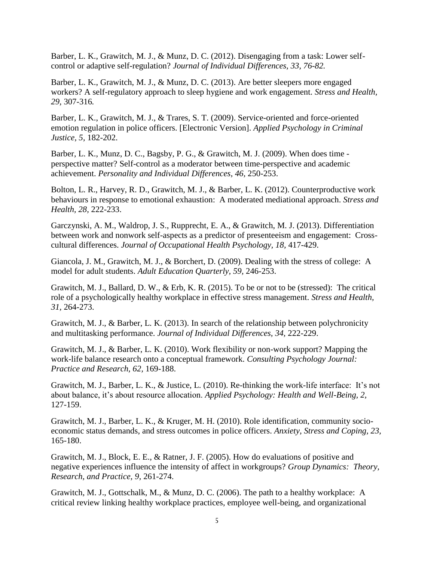Barber, L. K., Grawitch, M. J., & Munz, D. C. (2012). Disengaging from a task: Lower selfcontrol or adaptive self-regulation? *Journal of Individual Differences, 33, 76-82.*

Barber, L. K., Grawitch, M. J., & Munz, D. C. (2013). Are better sleepers more engaged workers? A self-regulatory approach to sleep hygiene and work engagement. *Stress and Health, 29,* 307-316*.*

Barber, L. K., Grawitch, M. J., & Trares, S. T. (2009). Service-oriented and force-oriented emotion regulation in police officers. [Electronic Version]. *Applied Psychology in Criminal Justice, 5,* 182-202.

Barber, L. K., Munz, D. C., Bagsby, P. G., & Grawitch, M. J. (2009). When does time perspective matter? Self-control as a moderator between time-perspective and academic achievement. *Personality and Individual Differences, 46,* 250-253.

Bolton, L. R., Harvey, R. D., Grawitch, M. J., & Barber, L. K. (2012). Counterproductive work behaviours in response to emotional exhaustion: A moderated mediational approach. *Stress and Health, 28,* 222-233.

Garczynski, A. M., Waldrop, J. S., Rupprecht, E. A., & Grawitch, M. J. (2013). Differentiation between work and nonwork self-aspects as a predictor of presenteeism and engagement: Crosscultural differences. *Journal of Occupational Health Psychology, 18,* 417-429.

Giancola, J. M., Grawitch, M. J., & Borchert, D. (2009). Dealing with the stress of college: A model for adult students. *Adult Education Quarterly, 59,* 246-253.

Grawitch, M. J., Ballard, D. W., & Erb, K. R. (2015). To be or not to be (stressed): The critical role of a psychologically healthy workplace in effective stress management. *Stress and Health, 31,* 264-273.

Grawitch, M. J., & Barber, L. K. (2013). In search of the relationship between polychronicity and multitasking performance. *Journal of Individual Differences, 34,* 222-229.

Grawitch, M. J., & Barber, L. K. (2010). Work flexibility or non-work support? Mapping the work-life balance research onto a conceptual framework. *Consulting Psychology Journal: Practice and Research, 62,* 169-188.

Grawitch, M. J., Barber, L. K., & Justice, L. (2010). Re-thinking the work-life interface: It's not about balance, it's about resource allocation. *Applied Psychology: Health and Well-Being, 2,*  127-159.

Grawitch, M. J., Barber, L. K., & Kruger, M. H. (2010). Role identification, community socioeconomic status demands, and stress outcomes in police officers. *Anxiety, Stress and Coping, 23,* 165-180.

Grawitch, M. J., Block, E. E., & Ratner, J. F. (2005). How do evaluations of positive and negative experiences influence the intensity of affect in workgroups? *Group Dynamics: Theory, Research, and Practice, 9,* 261-274.

Grawitch, M. J., Gottschalk, M., & Munz, D. C. (2006). The path to a healthy workplace: A critical review linking healthy workplace practices, employee well-being, and organizational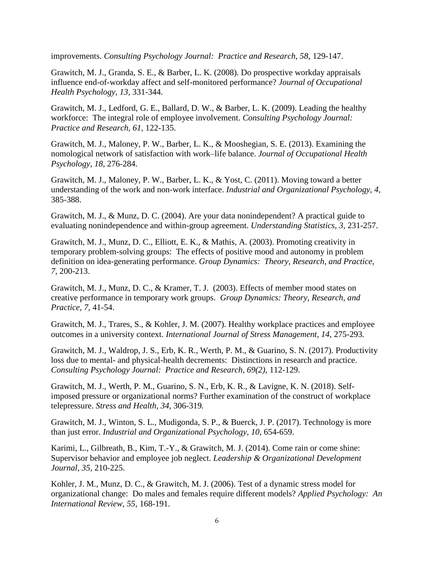improvements. *Consulting Psychology Journal: Practice and Research, 58, 129-147.* 

Grawitch, M. J., Granda, S. E., & Barber, L. K. (2008). Do prospective workday appraisals influence end-of-workday affect and self-monitored performance? *Journal of Occupational Health Psychology, 13,* 331-344.

Grawitch, M. J., Ledford, G. E., Ballard, D. W., & Barber, L. K. (2009). Leading the healthy workforce: The integral role of employee involvement. *Consulting Psychology Journal: Practice and Research, 61,* 122-135.

Grawitch, M. J., Maloney, P. W., Barber, L. K., & Mooshegian, S. E. (2013). Examining the nomological network of satisfaction with work–life balance. *Journal of Occupational Health Psychology, 18,* 276-284.

Grawitch, M. J., Maloney, P. W., Barber, L. K., & Yost, C. (2011). Moving toward a better understanding of the work and non-work interface. *Industrial and Organizational Psychology, 4,* 385-388.

Grawitch, M. J., & Munz, D. C. (2004). Are your data nonindependent? A practical guide to evaluating nonindependence and within-group agreement. *Understanding Statistics, 3,* 231-257.

Grawitch, M. J., Munz, D. C., Elliott, E. K., & Mathis, A. (2003). Promoting creativity in temporary problem-solving groups: The effects of positive mood and autonomy in problem definition on idea-generating performance. *Group Dynamics: Theory, Research, and Practice, 7,* 200-213.

Grawitch, M. J., Munz, D. C., & Kramer, T. J. (2003). Effects of member mood states on creative performance in temporary work groups. *Group Dynamics: Theory, Research, and Practice, 7,* 41-54.

Grawitch, M. J., Trares, S., & Kohler, J. M. (2007). Healthy workplace practices and employee outcomes in a university context. *International Journal of Stress Management, 14,* 275-293*.*

Grawitch, M. J., Waldrop, J. S., Erb, K. R., Werth, P. M., & Guarino, S. N. (2017). Productivity loss due to mental- and physical-health decrements: Distinctions in research and practice. *Consulting Psychology Journal: Practice and Research, 69(2),* 112-129.

Grawitch, M. J., Werth, P. M., Guarino, S. N., Erb, K. R., & Lavigne, K. N. (2018). Selfimposed pressure or organizational norms? Further examination of the construct of workplace telepressure. *Stress and Health, 34,* 306-319*.*

Grawitch, M. J., Winton, S. L., Mudigonda, S. P., & Buerck, J. P. (2017). Technology is more than just error. *Industrial and Organizational Psychology, 10,* 654-659.

Karimi, L., Gilbreath, B., Kim, T.-Y., & Grawitch, M. J. (2014). Come rain or come shine: Supervisor behavior and employee job neglect. *Leadership & Organizational Development Journal, 35,* 210-225.

Kohler, J. M., Munz, D. C., & Grawitch, M. J. (2006). Test of a dynamic stress model for organizational change: Do males and females require different models? *Applied Psychology: An International Review, 55,* 168-191.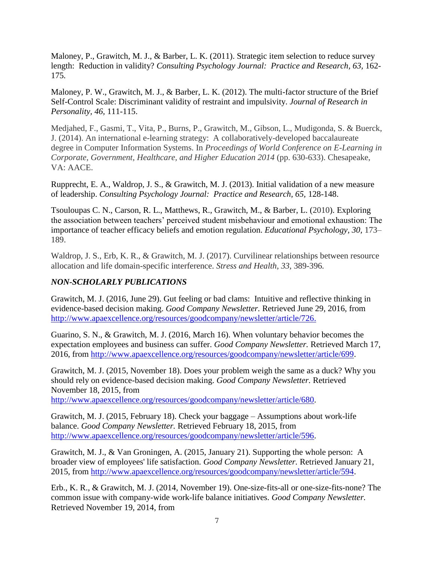Maloney, P., Grawitch, M. J., & Barber, L. K. (2011). Strategic item selection to reduce survey length: Reduction in validity? *Consulting Psychology Journal: Practice and Research, 63, 162-*175*.*

Maloney, P. W., Grawitch, M. J., & Barber, L. K. (2012). The multi-factor structure of the Brief Self-Control Scale: Discriminant validity of restraint and impulsivity. *Journal of Research in Personality, 46,* 111-115.

Medjahed, F., Gasmi, T., Vita, P., Burns, P., Grawitch, M., Gibson, L., Mudigonda, S. & Buerck, J. (2014). An international e-learning strategy: A collaboratively-developed baccalaureate degree in Computer Information Systems. In *Proceedings of World Conference on E-Learning in Corporate, Government, Healthcare, and Higher Education 2014* (pp. 630-633). Chesapeake, VA: AACE.

Rupprecht, E. A., Waldrop, J. S., & Grawitch, M. J. (2013). Initial validation of a new measure of leadership. *Consulting Psychology Journal: Practice and Research, 65,* 128-148.

Tsouloupas C. N., Carson, R. L., Matthews, R., Grawitch, M., & Barber, L. (2010). Exploring the association between teachers' perceived student misbehaviour and emotional exhaustion: The importance of teacher efficacy beliefs and emotion regulation. *Educational Psychology, 30,* 173– 189.

Waldrop, J. S., Erb, K. R., & Grawitch, M. J. (2017). Curvilinear relationships between resource allocation and life domain-specific interference. *Stress and Health, 33,* 389-396*.*

# *NON-SCHOLARLY PUBLICATIONS*

Grawitch, M. J. (2016, June 29). Gut feeling or bad clams: Intuitive and reflective thinking in evidence-based decision making. *Good Company Newsletter.* Retrieved June 29, 2016, from [http://www.apaexcellence.org/resources/goodcompany/newsletter/article/726.](http://www.apaexcellence.org/resources/goodcompany/newsletter/article/726)

Guarino, S. N., & Grawitch, M. J. (2016, March 16). When voluntary behavior becomes the expectation employees and business can suffer. *Good Company Newsletter.* Retrieved March 17, 2016, from [http://www.apaexcellence.org/resources/goodcompany/newsletter/article/699.](http://www.apaexcellence.org/resources/goodcompany/newsletter/article/699)

Grawitch, M. J. (2015, November 18). Does your problem weigh the same as a duck? Why you should rely on evidence-based decision making. *Good Company Newsletter.* Retrieved November 18, 2015, from

[http://www.apaexcellence.org/resources/goodcompany/newsletter/article/680.](http://www.apaexcellence.org/resources/goodcompany/newsletter/article/680)

Grawitch, M. J. (2015, February 18). Check your baggage – Assumptions about work-life balance. *Good Company Newsletter.* Retrieved February 18, 2015, from [http://www.apaexcellence.org/resources/goodcompany/newsletter/article/596.](http://www.apaexcellence.org/resources/goodcompany/newsletter/article/596)

Grawitch, M. J., & Van Groningen, A. (2015, January 21). Supporting the whole person: A broader view of employees' life satisfaction. *Good Company Newsletter.* Retrieved January 21, 2015, from [http://www.apaexcellence.org/resources/goodcompany/newsletter/article/594.](http://www.apaexcellence.org/resources/goodcompany/newsletter/article/594)

Erb., K. R., & Grawitch, M. J. (2014, November 19). One-size-fits-all or one-size-fits-none? The common issue with company-wide work-life balance initiatives. *Good Company Newsletter.* Retrieved November 19, 2014, from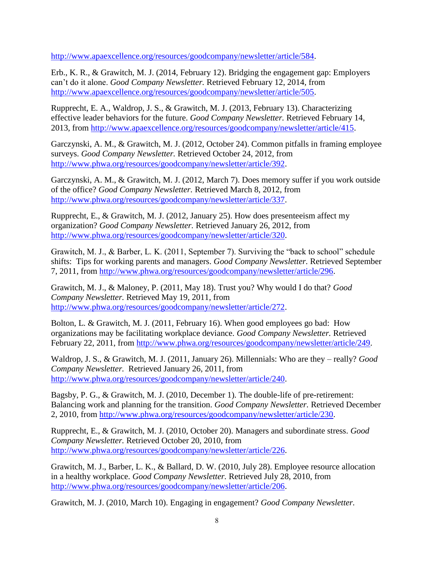[http://www.apaexcellence.org/resources/goodcompany/newsletter/article/584.](http://www.apaexcellence.org/resources/goodcompany/newsletter/article/584)

Erb., K. R., & Grawitch, M. J. (2014, February 12). Bridging the engagement gap: Employers can't do it alone. *Good Company Newsletter.* Retrieved February 12, 2014, from [http://www.apaexcellence.org/resources/goodcompany/newsletter/article/505.](http://www.apaexcellence.org/resources/goodcompany/newsletter/article/505)

Rupprecht, E. A., Waldrop, J. S., & Grawitch, M. J. (2013, February 13). Characterizing effective leader behaviors for the future. *Good Company Newsletter.* Retrieved February 14, 2013, from [http://www.apaexcellence.org/resources/goodcompany/newsletter/article/415.](http://www.apaexcellence.org/resources/goodcompany/newsletter/article/415)

Garczynski, A. M., & Grawitch, M. J. (2012, October 24). Common pitfalls in framing employee surveys. *Good Company Newsletter.* Retrieved October 24, 2012, from [http://www.phwa.org/resources/goodcompany/newsletter/article/392.](http://www.phwa.org/resources/goodcompany/newsletter/article/392)

Garczynski, A. M., & Grawitch, M. J. (2012, March 7). Does memory suffer if you work outside of the office? *Good Company Newsletter.* Retrieved March 8, 2012, from [http://www.phwa.org/resources/goodcompany/newsletter/article/337.](http://www.phwa.org/resources/goodcompany/newsletter/article/337)

Rupprecht, E., & Grawitch, M. J. (2012, January 25). How does presenteeism affect my organization? *Good Company Newsletter.* Retrieved January 26, 2012, from [http://www.phwa.org/resources/goodcompany/newsletter/article/320.](http://www.phwa.org/resources/goodcompany/newsletter/article/320)

Grawitch, M. J., & Barber, L. K. (2011, September 7). Surviving the "back to school" schedule shifts: Tips for working parents and managers. *Good Company Newsletter.* Retrieved September 7, 2011, from [http://www.phwa.org/resources/goodcompany/newsletter/article/296.](http://www.phwa.org/resources/goodcompany/newsletter/article/296)

Grawitch, M. J., & Maloney, P. (2011, May 18). Trust you? Why would I do that? *Good Company Newsletter.* Retrieved May 19, 2011, from [http://www.phwa.org/resources/goodcompany/newsletter/article/272.](http://www.phwa.org/resources/goodcompany/newsletter/article/272)

Bolton, L. & Grawitch, M. J. (2011, February 16). When good employees go bad: How organizations may be facilitating workplace deviance. *Good Company Newsletter.* Retrieved February 22, 2011, from [http://www.phwa.org/resources/goodcompany/newsletter/article/249.](http://www.phwa.org/resources/goodcompany/newsletter/article/249)

Waldrop, J. S., & Grawitch, M. J. (2011, January 26). Millennials: Who are they – really? *Good Company Newsletter.* Retrieved January 26, 2011, from [http://www.phwa.org/resources/goodcompany/newsletter/article/240.](http://www.phwa.org/resources/goodcompany/newsletter/article/240)

Bagsby, P. G., & Grawitch, M. J. (2010, December 1). The double-life of pre-retirement: Balancing work and planning for the transition. *Good Company Newsletter.* Retrieved December 2, 2010, from [http://www.phwa.org/resources/goodcompany/newsletter/article/230.](http://www.phwa.org/resources/goodcompany/newsletter/article/230)

Rupprecht, E., & Grawitch, M. J. (2010, October 20). Managers and subordinate stress. *Good Company Newsletter.* Retrieved October 20, 2010, from [http://www.phwa.org/resources/goodcompany/newsletter/article/226.](http://www.phwa.org/resources/goodcompany/newsletter/article/226)

Grawitch, M. J., Barber, L. K., & Ballard, D. W. (2010, July 28). Employee resource allocation in a healthy workplace. *Good Company Newsletter.* Retrieved July 28, 2010, from [http://www.phwa.org/resources/goodcompany/newsletter/article/206.](http://www.phwa.org/resources/goodcompany/newsletter/article/206)

Grawitch, M. J. (2010, March 10). Engaging in engagement? *Good Company Newsletter.*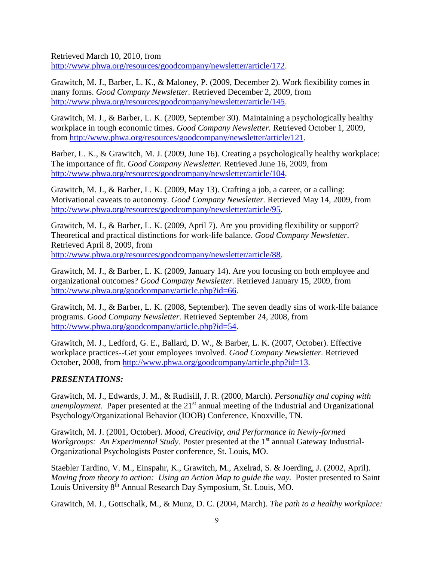Retrieved March 10, 2010, from [http://www.phwa.org/resources/goodcompany/newsletter/article/172.](http://www.phwa.org/resources/goodcompany/newsletter/article/172)

Grawitch, M. J., Barber, L. K., & Maloney, P. (2009, December 2). Work flexibility comes in many forms. *Good Company Newsletter.* Retrieved December 2, 2009, from [http://www.phwa.org/resources/goodcompany/newsletter/article/145.](http://www.phwa.org/resources/goodcompany/newsletter/article/145)

Grawitch, M. J., & Barber, L. K. (2009, September 30). Maintaining a psychologically healthy workplace in tough economic times. *Good Company Newsletter.* Retrieved October 1, 2009, from [http://www.phwa.org/resources/goodcompany/newsletter/article/121.](http://www.phwa.org/resources/goodcompany/newsletter/article/121)

Barber, L. K., & Grawitch, M. J. (2009, June 16). Creating a psychologically healthy workplace: The importance of fit. *Good Company Newsletter.* Retrieved June 16, 2009, from [http://www.phwa.org/resources/goodcompany/newsletter/article/104.](http://www.phwa.org/resources/goodcompany/newsletter/article/104)

Grawitch, M. J., & Barber, L. K. (2009, May 13). Crafting a job, a career, or a calling: Motivational caveats to autonomy. *Good Company Newsletter.* Retrieved May 14, 2009, from [http://www.phwa.org/resources/goodcompany/newsletter/article/95.](http://www.phwa.org/resources/goodcompany/newsletter/article/95)

Grawitch, M. J., & Barber, L. K. (2009, April 7). Are you providing flexibility or support? Theoretical and practical distinctions for work-life balance. *Good Company Newsletter.* Retrieved April 8, 2009, from

[http://www.phwa.org/resources/goodcompany/newsletter/article/88.](http://www.phwa.org/resources/goodcompany/newsletter/article/88)

Grawitch, M. J., & Barber, L. K. (2009, January 14). Are you focusing on both employee and organizational outcomes? *Good Company Newsletter.* Retrieved January 15, 2009, from [http://www.phwa.org/goodcompany/article.php?id=66.](http://www.phwa.org/goodcompany/article.php?id=66)

Grawitch, M. J., & Barber, L. K. (2008, September). The seven deadly sins of work-life balance programs. *Good Company Newsletter.* Retrieved September 24, 2008, from [http://www.phwa.org/goodcompany/article.php?id=54.](http://www.phwa.org/goodcompany/article.php?id=54)

Grawitch, M. J., Ledford, G. E., Ballard, D. W., & Barber, L. K. (2007, October). Effective workplace practices--Get your employees involved. *Good Company Newsletter.* Retrieved October, 2008, from [http://www.phwa.org/goodcompany/article.php?id=13.](http://www.phwa.org/goodcompany/article.php?id=13)

#### *PRESENTATIONS:*

Grawitch, M. J., Edwards, J. M., & Rudisill, J. R. (2000, March). *Personality and coping with unemployment.* Paper presented at the 21<sup>st</sup> annual meeting of the Industrial and Organizational Psychology/Organizational Behavior (IOOB) Conference, Knoxville, TN.

Grawitch, M. J. (2001, October). *Mood, Creativity, and Performance in Newly-formed Workgroups: An Experimental Study.* Poster presented at the 1<sup>st</sup> annual Gateway Industrial-Organizational Psychologists Poster conference, St. Louis, MO.

Staebler Tardino, V. M., Einspahr, K., Grawitch, M., Axelrad, S. & Joerding, J. (2002, April). *Moving from theory to action: Using an Action Map to guide the way.* Poster presented to Saint Louis University 8<sup>th</sup> Annual Research Day Symposium, St. Louis, MO.

Grawitch, M. J., Gottschalk, M., & Munz, D. C. (2004, March). *The path to a healthy workplace:*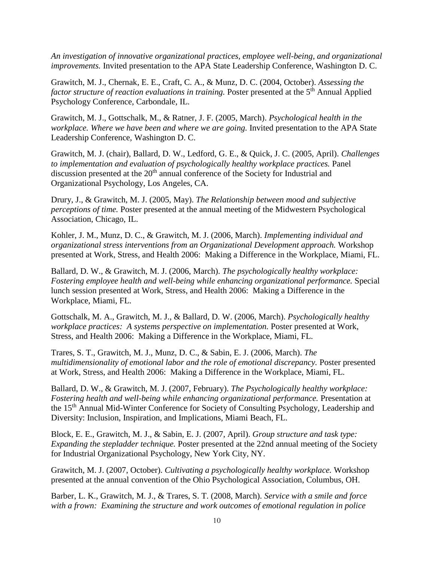*An investigation of innovative organizational practices, employee well-being, and organizational improvements.* Invited presentation to the APA State Leadership Conference, Washington D. C.

Grawitch, M. J., Chernak, E. E., Craft, C. A., & Munz, D. C. (2004, October). *Assessing the factor structure of reaction evaluations in training.* Poster presented at the 5<sup>th</sup> Annual Applied Psychology Conference, Carbondale, IL.

Grawitch, M. J., Gottschalk, M., & Ratner, J. F. (2005, March). *Psychological health in the workplace. Where we have been and where we are going.* Invited presentation to the APA State Leadership Conference, Washington D. C.

Grawitch, M. J. (chair), Ballard, D. W., Ledford, G. E., & Quick, J. C. (2005, April). *Challenges to implementation and evaluation of psychologically healthy workplace practices.* Panel discussion presented at the 20<sup>th</sup> annual conference of the Society for Industrial and Organizational Psychology, Los Angeles, CA.

Drury, J., & Grawitch, M. J. (2005, May). *The Relationship between mood and subjective perceptions of time.* Poster presented at the annual meeting of the Midwestern Psychological Association, Chicago, IL.

Kohler, J. M., Munz, D. C., & Grawitch, M. J. (2006, March). *Implementing individual and organizational stress interventions from an Organizational Development approach.* Workshop presented at Work, Stress, and Health 2006: Making a Difference in the Workplace, Miami, FL.

Ballard, D. W., & Grawitch, M. J. (2006, March). *The psychologically healthy workplace: Fostering employee health and well-being while enhancing organizational performance.* Special lunch session presented at Work, Stress, and Health 2006: Making a Difference in the Workplace, Miami, FL.

Gottschalk, M. A., Grawitch, M. J., & Ballard, D. W. (2006, March). *Psychologically healthy workplace practices: A systems perspective on implementation.* Poster presented at Work, Stress, and Health 2006: Making a Difference in the Workplace, Miami, FL.

Trares, S. T., Grawitch, M. J., Munz, D. C., & Sabin, E. J. (2006, March). *The multidimensionality of emotional labor and the role of emotional discrepancy.* Poster presented at Work, Stress, and Health 2006: Making a Difference in the Workplace, Miami, FL.

Ballard, D. W., & Grawitch, M. J. (2007, February). *The Psychologically healthy workplace: Fostering health and well-being while enhancing organizational performance.* Presentation at the 15th Annual Mid-Winter Conference for Society of Consulting Psychology, Leadership and Diversity: Inclusion, Inspiration, and Implications, Miami Beach, FL.

Block, E. E., Grawitch, M. J., & Sabin, E. J. (2007, April). *Group structure and task type: Expanding the stepladder technique.* Poster presented at the 22nd annual meeting of the Society for Industrial Organizational Psychology, New York City, NY.

Grawitch, M. J. (2007, October). *Cultivating a psychologically healthy workplace.* Workshop presented at the annual convention of the Ohio Psychological Association, Columbus, OH.

Barber, L. K., Grawitch, M. J., & Trares, S. T. (2008, March). *Service with a smile and force with a frown: Examining the structure and work outcomes of emotional regulation in police*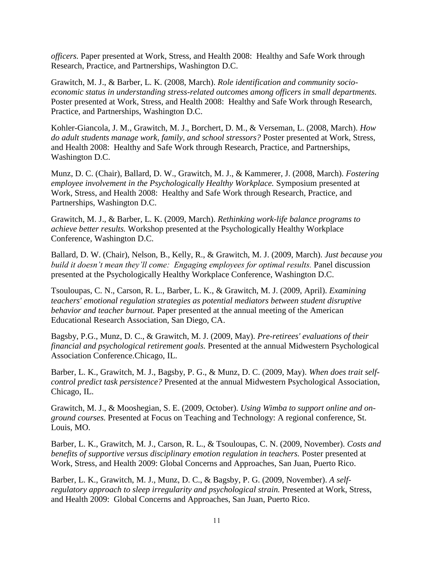*officers.* Paper presented at Work, Stress, and Health 2008: Healthy and Safe Work through Research, Practice, and Partnerships, Washington D.C.

Grawitch, M. J., & Barber, L. K. (2008, March). *Role identification and community socioeconomic status in understanding stress-related outcomes among officers in small departments.* Poster presented at Work, Stress, and Health 2008: Healthy and Safe Work through Research, Practice, and Partnerships, Washington D.C.

Kohler-Giancola, J. M., Grawitch, M. J., Borchert, D. M., & Verseman, L. (2008, March). *How do adult students manage work, family, and school stressors?* Poster presented at Work, Stress, and Health 2008: Healthy and Safe Work through Research, Practice, and Partnerships, Washington D.C.

Munz, D. C. (Chair), Ballard, D. W., Grawitch, M. J., & Kammerer, J. (2008, March). *Fostering employee involvement in the Psychologically Healthy Workplace.* Symposium presented at Work, Stress, and Health 2008: Healthy and Safe Work through Research, Practice, and Partnerships, Washington D.C.

Grawitch, M. J., & Barber, L. K. (2009, March). *Rethinking work-life balance programs to achieve better results.* Workshop presented at the Psychologically Healthy Workplace Conference, Washington D.C.

Ballard, D. W. (Chair), Nelson, B., Kelly, R., & Grawitch, M. J. (2009, March). *Just because you build it doesn't mean they'll come: Engaging employees for optimal results.* Panel discussion presented at the Psychologically Healthy Workplace Conference, Washington D.C.

Tsouloupas, C. N., Carson, R. L., Barber, L. K., & Grawitch, M. J. (2009, April). *Examining teachers' emotional regulation strategies as potential mediators between student disruptive behavior and teacher burnout.* Paper presented at the annual meeting of the American Educational Research Association, San Diego, CA.

Bagsby, P.G., Munz, D. C., & Grawitch, M. J. (2009, May). *Pre-retirees' evaluations of their financial and psychological retirement goals.* Presented at the annual Midwestern Psychological Association Conference.Chicago, IL.

Barber, L. K., Grawitch, M. J., Bagsby, P. G., & Munz, D. C. (2009, May). *When does trait selfcontrol predict task persistence?* Presented at the annual Midwestern Psychological Association, Chicago, IL.

Grawitch, M. J., & Mooshegian, S. E. (2009, October). *Using Wimba to support online and onground courses.* Presented at Focus on Teaching and Technology: A regional conference, St. Louis, MO.

Barber, L. K., Grawitch, M. J., Carson, R. L., & Tsouloupas, C. N. (2009, November). *Costs and benefits of supportive versus disciplinary emotion regulation in teachers.* Poster presented at Work, Stress, and Health 2009: Global Concerns and Approaches, San Juan, Puerto Rico.

Barber, L. K., Grawitch, M. J., Munz, D. C., & Bagsby, P. G. (2009, November). *A selfregulatory approach to sleep irregularity and psychological strain.* Presented at Work, Stress, and Health 2009: Global Concerns and Approaches, San Juan, Puerto Rico.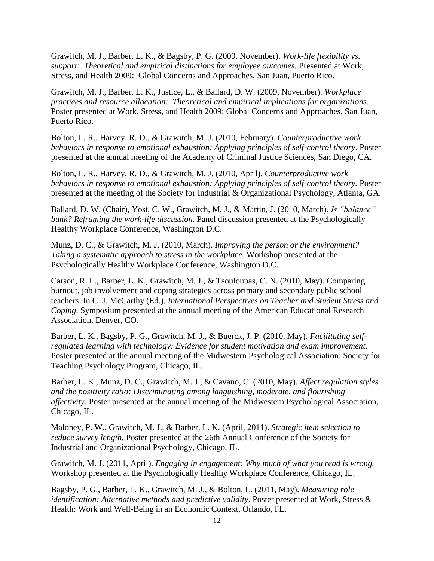Grawitch, M. J., Barber, L. K., & Bagsby, P. G. (2009, November). *Work-life flexibility vs. support: Theoretical and empirical distinctions for employee outcomes.* Presented at Work, Stress, and Health 2009: Global Concerns and Approaches, San Juan, Puerto Rico.

Grawitch, M. J., Barber, L. K., Justice, L., & Ballard, D. W. (2009, November). *Workplace practices and resource allocation: Theoretical and empirical implications for organizations.* Poster presented at Work, Stress, and Health 2009: Global Concerns and Approaches, San Juan, Puerto Rico.

Bolton, L. R., Harvey, R. D., & Grawitch, M. J. (2010, February). *Counterproductive work behaviors in response to emotional exhaustion: Applying principles of self-control theory*. Poster presented at the annual meeting of the Academy of Criminal Justice Sciences, San Diego, CA.

Bolton, L. R., Harvey, R. D., & Grawitch, M. J. (2010, April). *Counterproductive work behaviors in response to emotional exhaustion: Applying principles of self-control theory.* Poster presented at the meeting of the Society for Industrial & Organizational Psychology, Atlanta, GA.

Ballard, D. W. (Chair), Yost, C. W., Grawitch, M. J., & Martin, J. (2010, March). *Is "balance" bunk? Reframing the work-life discussion*. Panel discussion presented at the Psychologically Healthy Workplace Conference, Washington D.C.

Munz, D. C., & Grawitch, M. J. (2010, March). *Improving the person or the environment? Taking a systematic approach to stress in the workplace.* Workshop presented at the Psychologically Healthy Workplace Conference, Washington D.C.

Carson, R. L., Barber, L. K., Grawitch, M. J., & Tsouloupas, C. N. (2010, May). Comparing burnout, job involvement and coping strategies across primary and secondary public school teachers. In C. J. McCarthy (Ed.), *International Perspectives on Teacher and Student Stress and Coping*. Symposium presented at the annual meeting of the American Educational Research Association, Denver, CO.

Barber, L. K., Bagsby, P. G., Grawitch, M. J., & Buerck, J. P. (2010, May). *Facilitating selfregulated learning with technology: Evidence for student motivation and exam improvement.* Poster presented at the annual meeting of the Midwestern Psychological Association: Society for Teaching Psychology Program, Chicago, IL.

Barber, L. K., Munz, D. C., Grawitch, M. J., & Cavano, C. (2010, May). *Affect regulation styles and the positivity ratio: Discriminating among languishing, moderate, and flourishing affectivity.* Poster presented at the annual meeting of the Midwestern Psychological Association, Chicago, IL.

Maloney, P. W., Grawitch, M. J., & Barber, L. K. (April, 2011). *Strategic item selection to reduce survey length.* Poster presented at the 26th Annual Conference of the Society for Industrial and Organizational Psychology, Chicago, IL.

Grawitch, M. J. (2011, April). *Engaging in engagement: Why much of what you read is wrong.* Workshop presented at the Psychologically Healthy Workplace Conference, Chicago, IL.

Bagsby, P. G., Barber, L. K., Grawitch, M. J., & Bolton, L. (2011, May). *Measuring role identification: Alternative methods and predictive validity*. Poster presented at Work, Stress & Health: Work and Well-Being in an Economic Context, Orlando, FL.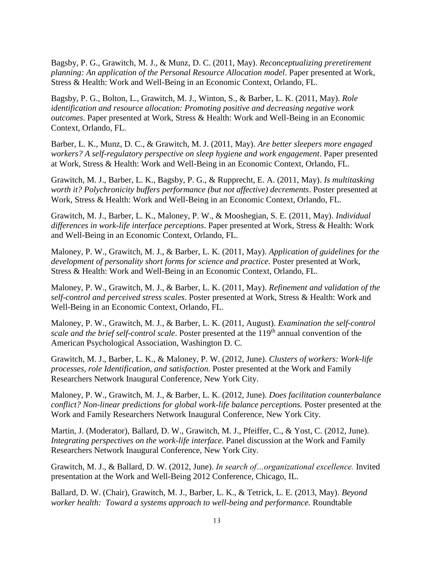Bagsby, P. G., Grawitch, M. J., & Munz, D. C. (2011, May). *Reconceptualizing preretirement planning: An application of the Personal Resource Allocation model*. Paper presented at Work, Stress & Health: Work and Well-Being in an Economic Context, Orlando, FL.

Bagsby, P. G., Bolton, L., Grawitch, M. J., Winton, S., & Barber, L. K. (2011, May). *Role identification and resource allocation: Promoting positive and decreasing negative work outcomes*. Paper presented at Work, Stress & Health: Work and Well-Being in an Economic Context, Orlando, FL.

Barber, L. K., Munz, D. C., & Grawitch, M. J. (2011, May). *Are better sleepers more engaged workers? A self-regulatory perspective on sleep hygiene and work engagement*. Paper presented at Work, Stress & Health: Work and Well-Being in an Economic Context, Orlando, FL.

Grawitch, M. J., Barber, L. K., Bagsby, P. G., & Rupprecht, E. A. (2011, May). *Is multitasking worth it? Polychronicity buffers performance (but not affective) decrements*. Poster presented at Work, Stress & Health: Work and Well-Being in an Economic Context, Orlando, FL.

Grawitch, M. J., Barber, L. K., Maloney, P. W., & Mooshegian, S. E. (2011, May). *Individual differences in work-life interface perceptions*. Paper presented at Work, Stress & Health: Work and Well-Being in an Economic Context, Orlando, FL.

Maloney, P. W., Grawitch, M. J., & Barber, L. K. (2011, May). *Application of guidelines for the development of personality short forms for science and practice*. Poster presented at Work, Stress & Health: Work and Well-Being in an Economic Context, Orlando, FL.

Maloney, P. W., Grawitch, M. J., & Barber, L. K. (2011, May). *Refinement and validation of the self-control and perceived stress scales*. Poster presented at Work, Stress & Health: Work and Well-Being in an Economic Context, Orlando, FL.

Maloney, P. W., Grawitch, M. J., & Barber, L. K. (2011, August). *Examination the self-control scale and the brief self-control scale*. Poster presented at the 119<sup>th</sup> annual convention of the American Psychological Association, Washington D. C.

Grawitch, M. J., Barber, L. K., & Maloney, P. W. (2012, June). *Clusters of workers: Work-life processes, role Identification, and satisfaction.* Poster presented at the Work and Family Researchers Network Inaugural Conference, New York City.

Maloney, P. W., Grawitch, M. J., & Barber, L. K. (2012, June). *Does facilitation counterbalance conflict? Non-linear predictions for global work-life balance perceptions.* Poster presented at the Work and Family Researchers Network Inaugural Conference, New York City.

Martin, J. (Moderator), Ballard, D. W., Grawitch, M. J., Pfeiffer, C., & Yost, C. (2012, June). *Integrating perspectives on the work-life interface.* Panel discussion at the Work and Family Researchers Network Inaugural Conference, New York City.

Grawitch, M. J., & Ballard, D. W. (2012, June). *In search of…organizational excellence.* Invited presentation at the Work and Well-Being 2012 Conference, Chicago, IL.

Ballard, D. W. (Chair), Grawitch, M. J., Barber, L. K., & Tetrick, L. E. (2013, May). *Beyond worker health: Toward a systems approach to well-being and performance.* Roundtable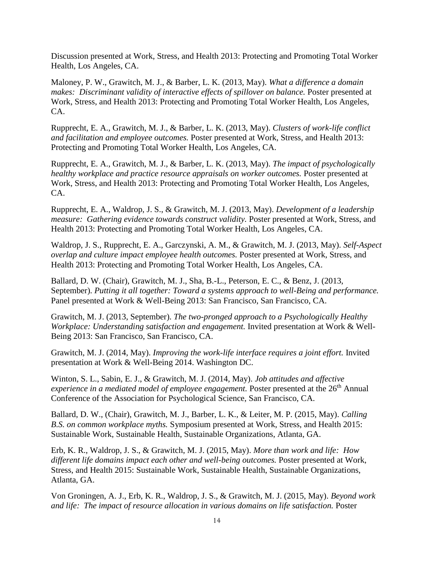Discussion presented at Work, Stress, and Health 2013: Protecting and Promoting Total Worker Health, Los Angeles, CA.

Maloney, P. W., Grawitch, M. J., & Barber, L. K. (2013, May). *What a difference a domain makes: Discriminant validity of interactive effects of spillover on balance.* Poster presented at Work, Stress, and Health 2013: Protecting and Promoting Total Worker Health, Los Angeles, CA.

Rupprecht, E. A., Grawitch, M. J., & Barber, L. K. (2013, May). *Clusters of work-life conflict and facilitation and employee outcomes.* Poster presented at Work, Stress, and Health 2013: Protecting and Promoting Total Worker Health, Los Angeles, CA.

Rupprecht, E. A., Grawitch, M. J., & Barber, L. K. (2013, May). *The impact of psychologically healthy workplace and practice resource appraisals on worker outcomes.* Poster presented at Work, Stress, and Health 2013: Protecting and Promoting Total Worker Health, Los Angeles, CA.

Rupprecht, E. A., Waldrop, J. S., & Grawitch, M. J. (2013, May). *Development of a leadership measure: Gathering evidence towards construct validity.* Poster presented at Work, Stress, and Health 2013: Protecting and Promoting Total Worker Health, Los Angeles, CA.

Waldrop, J. S., Rupprecht, E. A., Garczynski, A. M., & Grawitch, M. J. (2013, May). *Self-Aspect overlap and culture impact employee health outcomes.* Poster presented at Work, Stress, and Health 2013: Protecting and Promoting Total Worker Health, Los Angeles, CA.

Ballard, D. W. (Chair), Grawitch, M. J., Sha, B.-L., Peterson, E. C., & Benz, J. (2013, September). *Putting it all together: Toward a systems approach to well-Being and performance.* Panel presented at Work & Well-Being 2013: San Francisco, San Francisco, CA.

Grawitch, M. J. (2013, September). *The two-pronged approach to a Psychologically Healthy Workplace: Understanding satisfaction and engagement.* Invited presentation at Work & Well-Being 2013: San Francisco, San Francisco, CA.

Grawitch, M. J. (2014, May). *Improving the work-life interface requires a joint effort.* Invited presentation at Work & Well-Being 2014. Washington DC.

Winton, S. L., Sabin, E. J., & Grawitch, M. J. (2014, May). *Job attitudes and affective experience in a mediated model of employee engagement.* Poster presented at the 26<sup>th</sup> Annual Conference of the Association for Psychological Science, San Francisco, CA.

Ballard, D. W., (Chair), Grawitch, M. J., Barber, L. K., & Leiter, M. P. (2015, May). *Calling B.S. on common workplace myths.* Symposium presented at Work, Stress, and Health 2015: Sustainable Work, Sustainable Health, Sustainable Organizations, Atlanta, GA.

Erb, K. R., Waldrop, J. S., & Grawitch, M. J. (2015, May). *More than work and life: How different life domains impact each other and well-being outcomes.* Poster presented at Work, Stress, and Health 2015: Sustainable Work, Sustainable Health, Sustainable Organizations, Atlanta, GA.

Von Groningen, A. J., Erb, K. R., Waldrop, J. S., & Grawitch, M. J. (2015, May). *Beyond work and life: The impact of resource allocation in various domains on life satisfaction.* Poster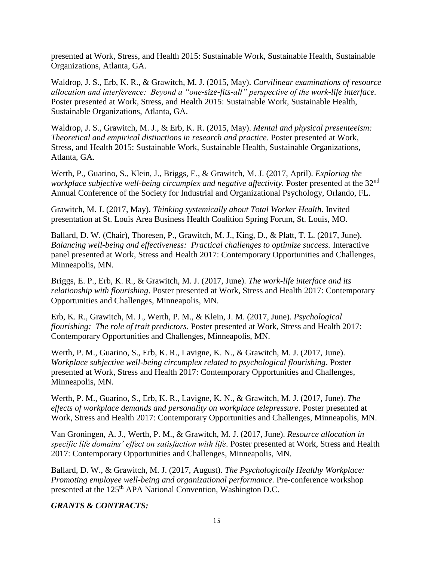presented at Work, Stress, and Health 2015: Sustainable Work, Sustainable Health, Sustainable Organizations, Atlanta, GA.

Waldrop, J. S., Erb, K. R., & Grawitch, M. J. (2015, May). *Curvilinear examinations of resource allocation and interference: Beyond a "one-size-fits-all" perspective of the work-life interface.* Poster presented at Work, Stress, and Health 2015: Sustainable Work, Sustainable Health, Sustainable Organizations, Atlanta, GA.

Waldrop, J. S., Grawitch, M. J., & Erb, K. R. (2015, May). *Mental and physical presenteeism: Theoretical and empirical distinctions in research and practice*. Poster presented at Work, Stress, and Health 2015: Sustainable Work, Sustainable Health, Sustainable Organizations, Atlanta, GA.

Werth, P., Guarino, S., Klein, J., Briggs, E., & Grawitch, M. J. (2017, April). *Exploring the workplace subjective well-being circumplex and negative affectivity.* Poster presented at the 32<sup>nd</sup> Annual Conference of the Society for Industrial and Organizational Psychology, Orlando, FL.

Grawitch, M. J. (2017, May). *Thinking systemically about Total Worker Health.* Invited presentation at St. Louis Area Business Health Coalition Spring Forum, St. Louis, MO.

Ballard, D. W. (Chair), Thoresen, P., Grawitch, M. J., King, D., & Platt, T. L. (2017, June). *Balancing well-being and effectiveness: Practical challenges to optimize success.* Interactive panel presented at Work, Stress and Health 2017: Contemporary Opportunities and Challenges, Minneapolis, MN.

Briggs, E. P., Erb, K. R., & Grawitch, M. J. (2017, June). *The work-life interface and its relationship with flourishing*. Poster presented at Work, Stress and Health 2017: Contemporary Opportunities and Challenges, Minneapolis, MN.

Erb, K. R., Grawitch, M. J., Werth, P. M., & Klein, J. M. (2017, June). *Psychological flourishing: The role of trait predictors*. Poster presented at Work, Stress and Health 2017: Contemporary Opportunities and Challenges, Minneapolis, MN.

Werth, P. M., Guarino, S., Erb, K. R., Lavigne, K. N., & Grawitch, M. J. (2017, June). *Workplace subjective well-being circumplex related to psychological flourishing*. Poster presented at Work, Stress and Health 2017: Contemporary Opportunities and Challenges, Minneapolis, MN.

Werth, P. M., Guarino, S., Erb, K. R., Lavigne, K. N., & Grawitch, M. J. (2017, June). *The effects of workplace demands and personality on workplace telepressure*. Poster presented at Work, Stress and Health 2017: Contemporary Opportunities and Challenges, Minneapolis, MN.

Van Groningen, A. J., Werth, P. M., & Grawitch, M. J. (2017, June). *Resource allocation in specific life domains' effect on satisfaction with life*. Poster presented at Work, Stress and Health 2017: Contemporary Opportunities and Challenges, Minneapolis, MN.

Ballard, D. W., & Grawitch, M. J. (2017, August). *The Psychologically Healthy Workplace: Promoting employee well-being and organizational performance.* Pre-conference workshop presented at the 125<sup>th</sup> APA National Convention, Washington D.C.

#### *GRANTS & CONTRACTS:*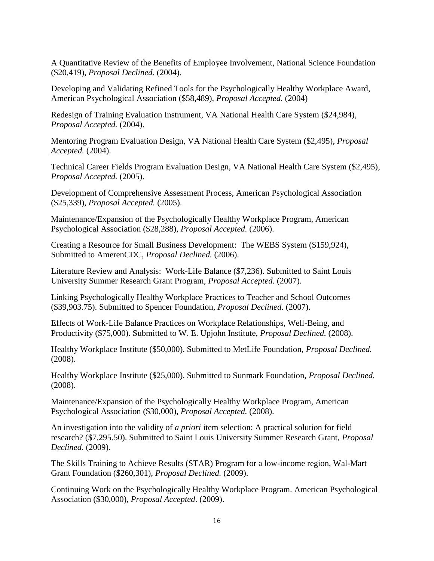A Quantitative Review of the Benefits of Employee Involvement, National Science Foundation (\$20,419), *Proposal Declined.* (2004).

Developing and Validating Refined Tools for the Psychologically Healthy Workplace Award, American Psychological Association (\$58,489), *Proposal Accepted.* (2004)

Redesign of Training Evaluation Instrument, VA National Health Care System (\$24,984), *Proposal Accepted.* (2004).

Mentoring Program Evaluation Design, VA National Health Care System (\$2,495), *Proposal Accepted.* (2004).

Technical Career Fields Program Evaluation Design, VA National Health Care System (\$2,495), *Proposal Accepted.* (2005).

Development of Comprehensive Assessment Process, American Psychological Association (\$25,339), *Proposal Accepted.* (2005).

Maintenance/Expansion of the Psychologically Healthy Workplace Program, American Psychological Association (\$28,288), *Proposal Accepted.* (2006).

Creating a Resource for Small Business Development: The WEBS System (\$159,924), Submitted to AmerenCDC, *Proposal Declined.* (2006).

Literature Review and Analysis: Work-Life Balance (\$7,236). Submitted to Saint Louis University Summer Research Grant Program, *Proposal Accepted.* (2007).

Linking Psychologically Healthy Workplace Practices to Teacher and School Outcomes (\$39,903.75). Submitted to Spencer Foundation, *Proposal Declined.* (2007).

Effects of Work-Life Balance Practices on Workplace Relationships, Well-Being, and Productivity (\$75,000). Submitted to W. E. Upjohn Institute, *Proposal Declined.* (2008).

Healthy Workplace Institute (\$50,000). Submitted to MetLife Foundation, *Proposal Declined.* (2008).

Healthy Workplace Institute (\$25,000). Submitted to Sunmark Foundation, *Proposal Declined.* (2008).

Maintenance/Expansion of the Psychologically Healthy Workplace Program, American Psychological Association (\$30,000), *Proposal Accepted.* (2008).

An investigation into the validity of *a priori* item selection: A practical solution for field research? (\$7,295.50). Submitted to Saint Louis University Summer Research Grant, *Proposal Declined.* (2009).

The Skills Training to Achieve Results (STAR) Program for a low-income region, Wal-Mart Grant Foundation (\$260,301), *Proposal Declined.* (2009).

Continuing Work on the Psychologically Healthy Workplace Program. American Psychological Association (\$30,000), *Proposal Accepted*. (2009).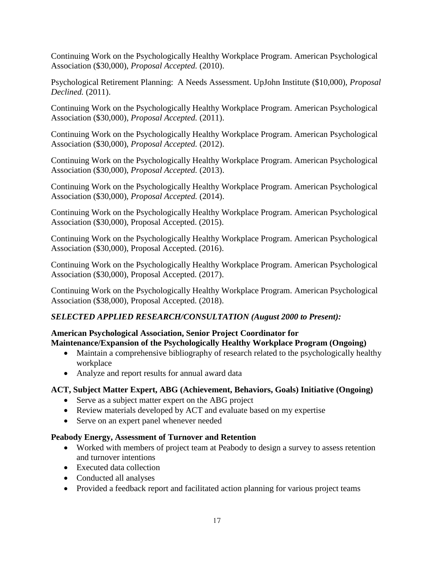Continuing Work on the Psychologically Healthy Workplace Program. American Psychological Association (\$30,000), *Proposal Accepted.* (2010).

Psychological Retirement Planning: A Needs Assessment. UpJohn Institute (\$10,000), *Proposal Declined.* (2011).

Continuing Work on the Psychologically Healthy Workplace Program. American Psychological Association (\$30,000), *Proposal Accepted.* (2011).

Continuing Work on the Psychologically Healthy Workplace Program. American Psychological Association (\$30,000), *Proposal Accepted.* (2012).

Continuing Work on the Psychologically Healthy Workplace Program. American Psychological Association (\$30,000), *Proposal Accepted.* (2013).

Continuing Work on the Psychologically Healthy Workplace Program. American Psychological Association (\$30,000), *Proposal Accepted.* (2014).

Continuing Work on the Psychologically Healthy Workplace Program. American Psychological Association (\$30,000), Proposal Accepted. (2015).

Continuing Work on the Psychologically Healthy Workplace Program. American Psychological Association (\$30,000), Proposal Accepted. (2016).

Continuing Work on the Psychologically Healthy Workplace Program. American Psychological Association (\$30,000), Proposal Accepted. (2017).

Continuing Work on the Psychologically Healthy Workplace Program. American Psychological Association (\$38,000), Proposal Accepted. (2018).

# *SELECTED APPLIED RESEARCH/CONSULTATION (August 2000 to Present):*

# **American Psychological Association, Senior Project Coordinator for Maintenance/Expansion of the Psychologically Healthy Workplace Program (Ongoing)**

- Maintain a comprehensive bibliography of research related to the psychologically healthy workplace
- Analyze and report results for annual award data

# **ACT, Subject Matter Expert, ABG (Achievement, Behaviors, Goals) Initiative (Ongoing)**

- Serve as a subject matter expert on the ABG project
- Review materials developed by ACT and evaluate based on my expertise
- Serve on an expert panel whenever needed

# **Peabody Energy, Assessment of Turnover and Retention**

- Worked with members of project team at Peabody to design a survey to assess retention and turnover intentions
- Executed data collection
- Conducted all analyses
- Provided a feedback report and facilitated action planning for various project teams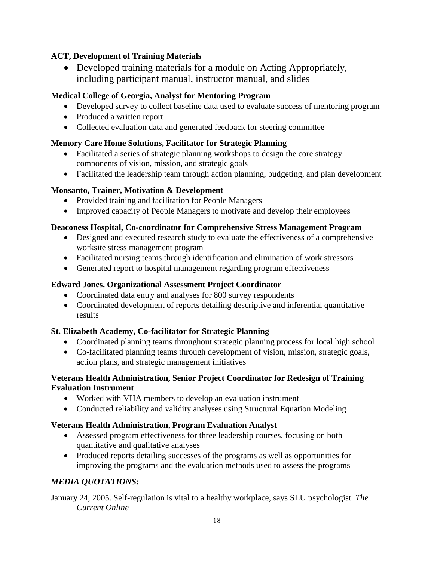# **ACT, Development of Training Materials**

• Developed training materials for a module on Acting Appropriately, including participant manual, instructor manual, and slides

# **Medical College of Georgia, Analyst for Mentoring Program**

- Developed survey to collect baseline data used to evaluate success of mentoring program
- Produced a written report
- Collected evaluation data and generated feedback for steering committee

# **Memory Care Home Solutions, Facilitator for Strategic Planning**

- Facilitated a series of strategic planning workshops to design the core strategy components of vision, mission, and strategic goals
- Facilitated the leadership team through action planning, budgeting, and plan development

# **Monsanto, Trainer, Motivation & Development**

- Provided training and facilitation for People Managers
- Improved capacity of People Managers to motivate and develop their employees

# **Deaconess Hospital, Co-coordinator for Comprehensive Stress Management Program**

- Designed and executed research study to evaluate the effectiveness of a comprehensive worksite stress management program
- Facilitated nursing teams through identification and elimination of work stressors
- Generated report to hospital management regarding program effectiveness

# **Edward Jones, Organizational Assessment Project Coordinator**

- Coordinated data entry and analyses for 800 survey respondents
- Coordinated development of reports detailing descriptive and inferential quantitative results

# **St. Elizabeth Academy, Co-facilitator for Strategic Planning**

- Coordinated planning teams throughout strategic planning process for local high school
- Co-facilitated planning teams through development of vision, mission, strategic goals, action plans, and strategic management initiatives

# **Veterans Health Administration, Senior Project Coordinator for Redesign of Training Evaluation Instrument**

- Worked with VHA members to develop an evaluation instrument
- Conducted reliability and validity analyses using Structural Equation Modeling

# **Veterans Health Administration, Program Evaluation Analyst**

- Assessed program effectiveness for three leadership courses, focusing on both quantitative and qualitative analyses
- Produced reports detailing successes of the programs as well as opportunities for improving the programs and the evaluation methods used to assess the programs

# *MEDIA QUOTATIONS:*

January 24, 2005. Self-regulation is vital to a healthy workplace, says SLU psychologist. *The Current Online*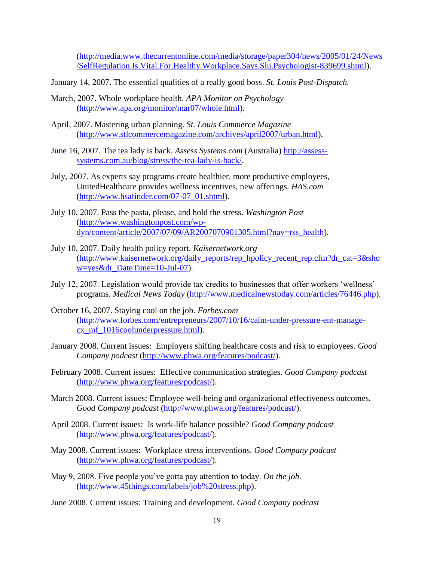[\(http://media.www.thecurrentonline.com/media/storage/paper304/news/2005/01/24/News](http://media.www.thecurrentonline.com/media/storage/paper304/news/2005/01/24/News/SelfRegulation.Is.Vital.For.Healthy.Workplace.Says.Slu.Psychologist-839699.shtml) [/SelfRegulation.Is.Vital.For.Healthy.Workplace.Says.Slu.Psychologist-839699.shtml\)](http://media.www.thecurrentonline.com/media/storage/paper304/news/2005/01/24/News/SelfRegulation.Is.Vital.For.Healthy.Workplace.Says.Slu.Psychologist-839699.shtml).

- January 14, 2007. The essential qualities of a really good boss. *St. Louis Post-Dispatch.*
- March, 2007. Whole workplace health. *APA Monitor on Psychology* [\(http://www.apa.org/monitor/mar07/whole.html\)](http://www.apa.org/monitor/mar07/whole.html).
- April, 2007. Mastering urban planning. *St. Louis Commerce Magazine* [\(http://www.stlcommercemagazine.com/archives/april2007/urban.html\)](http://www.stlcommercemagazine.com/archives/april2007/urban.html).
- June 16, 2007. The tea lady is back. *Assess Systems.com* (Australia) [http://assess](http://assess-systems.com.au/blog/stress/the-tea-lady-is-back/)[systems.com.au/blog/stress/the-tea-lady-is-back/.](http://assess-systems.com.au/blog/stress/the-tea-lady-is-back/)
- July, 2007. As experts say programs create healthier, more productive employees, UnitedHealthcare provides wellness incentives, new offerings. *HAS.com*  [\(http://www.hsafinder.com/07-07\\_01.shtml\)](http://www.hsafinder.com/07-07_01.shtml).
- July 10, 2007. Pass the pasta, please, and hold the stress. *Washington Post*  [\(http://www.washingtonpost.com/wp](http://www.washingtonpost.com/wp-dyn/content/article/2007/07/09/AR2007070901305.html?nav=rss_health)[dyn/content/article/2007/07/09/AR2007070901305.html?nav=rss\\_health\)](http://www.washingtonpost.com/wp-dyn/content/article/2007/07/09/AR2007070901305.html?nav=rss_health).
- July 10, 2007. Daily health policy report. *Kaisernetwork.org* [\(http://www.kaisernetwork.org/daily\\_reports/rep\\_hpolicy\\_recent\\_rep.cfm?dr\\_cat=3&sho](http://www.kaisernetwork.org/daily_reports/rep_hpolicy_recent_rep.cfm?dr_cat=3&show=yes&dr_DateTime=10-Jul-07) [w=yes&dr\\_DateTime=10-Jul-07\)](http://www.kaisernetwork.org/daily_reports/rep_hpolicy_recent_rep.cfm?dr_cat=3&show=yes&dr_DateTime=10-Jul-07).
- July 12, 2007. Legislation would provide tax credits to businesses that offer workers 'wellness' programs. *Medical News Today* [\(http://www.medicalnewstoday.com/articles/76446.php\)](http://www.medicalnewstoday.com/articles/76446.php).
- October 16, 2007. Staying cool on the job. *Forbes.com*  [\(http://www.forbes.com/entrepreneurs/2007/10/16/calm-under-pressure-ent-manage](http://www.forbes.com/entrepreneurs/2007/10/16/calm-under-pressure-ent-manage-cx_mf_1016coolunderpressure.html)[cx\\_mf\\_1016coolunderpressure.html\)](http://www.forbes.com/entrepreneurs/2007/10/16/calm-under-pressure-ent-manage-cx_mf_1016coolunderpressure.html).
- January 2008. Current issues: Employers shifting healthcare costs and risk to employees. *Good Company podcast* [\(http://www.phwa.org/features/podcast/\)](http://www.phwa.org/features/podcast/).
- February 2008. Current issues: Effective communication strategies. *Good Company podcast* [\(http://www.phwa.org/features/podcast/\)](http://www.phwa.org/features/podcast/).
- March 2008. Current issues: Employee well-being and organizational effectiveness outcomes. *Good Company podcast* [\(http://www.phwa.org/features/podcast/\)](http://www.phwa.org/features/podcast/).
- April 2008. Current issues: Is work-life balance possible? *Good Company podcast*  [\(http://www.phwa.org/features/podcast/\)](http://www.phwa.org/features/podcast/).
- May 2008. Current issues: Workplace stress interventions. *Good Company podcast*  [\(http://www.phwa.org/features/podcast/\)](http://www.phwa.org/features/podcast/).
- May 9, 2008. Five people you've gotta pay attention to today. *On the job.*  [\(http://www.45things.com/labels/job%20stress.php\)](http://www.45things.com/labels/job%20stress.php).
- June 2008. Current issues: Training and development. *Good Company podcast*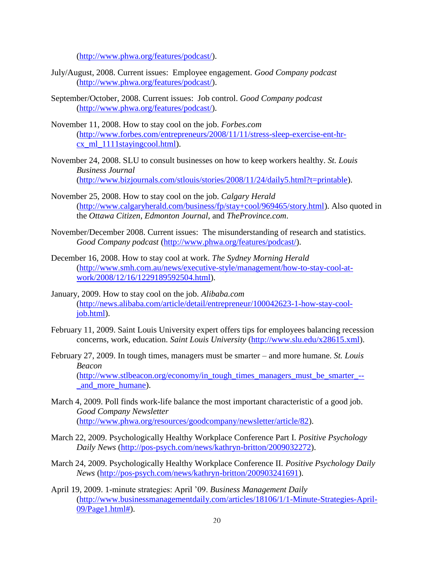[\(http://www.phwa.org/features/podcast/\)](http://www.phwa.org/features/podcast/).

- July/August, 2008. Current issues: Employee engagement. *Good Company podcast*  [\(http://www.phwa.org/features/podcast/\)](http://www.phwa.org/features/podcast/).
- September/October, 2008. Current issues: Job control. *Good Company podcast*  [\(http://www.phwa.org/features/podcast/\)](http://www.phwa.org/features/podcast/).
- November 11, 2008. How to stay cool on the job. *Forbes.com* [\(http://www.forbes.com/entrepreneurs/2008/11/11/stress-sleep-exercise-ent-hr](http://www.forbes.com/entrepreneurs/2008/11/11/stress-sleep-exercise-ent-hr-cx_ml_1111stayingcool.html)[cx\\_ml\\_1111stayingcool.html\)](http://www.forbes.com/entrepreneurs/2008/11/11/stress-sleep-exercise-ent-hr-cx_ml_1111stayingcool.html).
- November 24, 2008. SLU to consult businesses on how to keep workers healthy. *St. Louis Business Journal*  [\(http://www.bizjournals.com/stlouis/stories/2008/11/24/daily5.html?t=printable\)](http://www.bizjournals.com/stlouis/stories/2008/11/24/daily5.html?t=printable).
- November 25, 2008. How to stay cool on the job. *Calgary Herald* [\(http://www.calgaryherald.com/business/fp/stay+cool/969465/story.html\)](http://www.calgaryherald.com/business/fp/stay+cool/969465/story.html). Also quoted in the *Ottawa Citizen*, *Edmonton Journal*, and *TheProvince.com*.
- November/December 2008. Current issues: The misunderstanding of research and statistics. *Good Company podcast* [\(http://www.phwa.org/features/podcast/\)](http://www.phwa.org/features/podcast/).
- December 16, 2008. How to stay cool at work. *The Sydney Morning Herald*  [\(http://www.smh.com.au/news/executive-style/management/how-to-stay-cool-at](http://www.smh.com.au/news/executive-style/management/how-to-stay-cool-at-work/2008/12/16/1229189592504.html)[work/2008/12/16/1229189592504.html\)](http://www.smh.com.au/news/executive-style/management/how-to-stay-cool-at-work/2008/12/16/1229189592504.html).
- January, 2009. How to stay cool on the job. *Alibaba.com* [\(http://news.alibaba.com/article/detail/entrepreneur/100042623-1-how-stay-cool](http://news.alibaba.com/article/detail/entrepreneur/100042623-1-how-stay-cool-job.html)[job.html\)](http://news.alibaba.com/article/detail/entrepreneur/100042623-1-how-stay-cool-job.html).
- February 11, 2009. Saint Louis University expert offers tips for employees balancing recession concerns, work, education. *Saint Louis University* [\(http://www.slu.edu/x28615.xml\)](http://www.slu.edu/x28615.xml).
- February 27, 2009. In tough times, managers must be smarter and more humane. *St. Louis Beacon*  [\(http://www.stlbeacon.org/economy/in\\_tough\\_times\\_managers\\_must\\_be\\_smarter\\_--](http://www.stlbeacon.org/economy/in_tough_times_managers_must_be_smarter_--_and_more_humane) [\\_and\\_more\\_humane\)](http://www.stlbeacon.org/economy/in_tough_times_managers_must_be_smarter_--_and_more_humane).
- March 4, 2009. Poll finds work-life balance the most important characteristic of a good job. *Good Company Newsletter* [\(http://www.phwa.org/resources/goodcompany/newsletter/article/82\)](http://www.phwa.org/resources/goodcompany/newsletter/article/82).
- March 22, 2009. Psychologically Healthy Workplace Conference Part I. *Positive Psychology Daily News* [\(http://pos-psych.com/news/kathryn-britton/2009032272\)](http://pos-psych.com/news/kathryn-britton/2009032272).
- March 24, 2009. Psychologically Healthy Workplace Conference II. *Positive Psychology Daily News* [\(http://pos-psych.com/news/kathryn-britton/200903241691\)](http://pos-psych.com/news/kathryn-britton/200903241691).
- April 19, 2009. 1-minute strategies: April '09. *Business Management Daily* [\(http://www.businessmanagementdaily.com/articles/18106/1/1-Minute-Strategies-April-](http://www.businessmanagementdaily.com/articles/18106/1/1-Minute-Strategies-April-09/Page1.html)[09/Page1.html#\)](http://www.businessmanagementdaily.com/articles/18106/1/1-Minute-Strategies-April-09/Page1.html).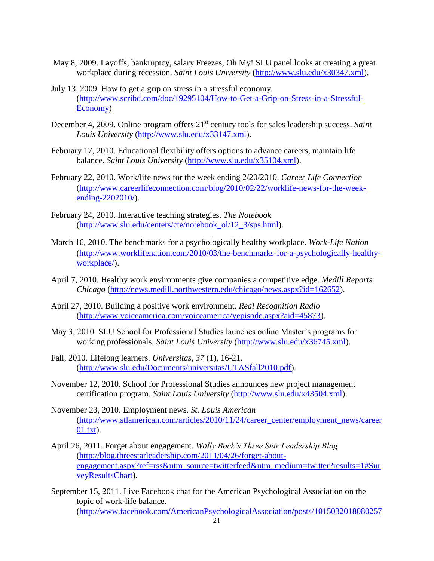- May 8, 2009. Layoffs, bankruptcy, salary Freezes, Oh My! SLU panel looks at creating a great workplace during recession. *Saint Louis University* [\(http://www.slu.edu/x30347.xml\)](http://www.slu.edu/x30347.xml).
- July 13, 2009. How to get a grip on stress in a stressful economy. [\(http://www.scribd.com/doc/19295104/How-to-Get-a-Grip-on-Stress-in-a-Stressful-](http://www.scribd.com/doc/19295104/How-to-Get-a-Grip-on-Stress-in-a-Stressful-Economy)[Economy\)](http://www.scribd.com/doc/19295104/How-to-Get-a-Grip-on-Stress-in-a-Stressful-Economy)
- December 4, 2009. Online program offers 21<sup>st</sup> century tools for sales leadership success. Saint *Louis University* [\(http://www.slu.edu/x33147.xml\)](http://www.slu.edu/x33147.xml).
- February 17, 2010. Educational flexibility offers options to advance careers, maintain life balance. *Saint Louis University* [\(http://www.slu.edu/x35104.xml\)](http://www.slu.edu/x35104.xml).
- February 22, 2010. Work/life news for the week ending 2/20/2010. *Career Life Connection* [\(http://www.careerlifeconnection.com/blog/2010/02/22/worklife-news-for-the-week](http://www.careerlifeconnection.com/blog/2010/02/22/worklife-news-for-the-week-ending-2202010/)[ending-2202010/\)](http://www.careerlifeconnection.com/blog/2010/02/22/worklife-news-for-the-week-ending-2202010/).
- February 24, 2010. Interactive teaching strategies. *The Notebook* [\(http://www.slu.edu/centers/cte/notebook\\_ol/12\\_3/sps.html\)](http://www.slu.edu/centers/cte/notebook_ol/12_3/sps.html).
- March 16, 2010. The benchmarks for a psychologically healthy workplace. *Work-Life Nation*  [\(http://www.worklifenation.com/2010/03/the-benchmarks-for-a-psychologically-healthy](http://www.worklifenation.com/2010/03/the-benchmarks-for-a-psychologically-healthy-workplace/)[workplace/\)](http://www.worklifenation.com/2010/03/the-benchmarks-for-a-psychologically-healthy-workplace/).
- April 7, 2010. Healthy work environments give companies a competitive edge. *Medill Reports Chicago* [\(http://news.medill.northwestern.edu/chicago/news.aspx?id=162652\)](http://news.medill.northwestern.edu/chicago/news.aspx?id=162652).
- April 27, 2010. Building a positive work environment. *Real Recognition Radio*  [\(http://www.voiceamerica.com/voiceamerica/vepisode.aspx?aid=45873\)](http://www.voiceamerica.com/voiceamerica/vepisode.aspx?aid=45873).
- May 3, 2010. SLU School for Professional Studies launches online Master's programs for working professionals. *Saint Louis University* [\(http://www.slu.edu/x36745.xml\)](http://www.slu.edu/x36745.xml).
- Fall, 2010. Lifelong learners. *Universitas, 37* (1), 16-21. [\(http://www.slu.edu/Documents/universitas/UTASfall2010.pdf\)](http://www.slu.edu/Documents/universitas/UTASfall2010.pdf).
- November 12, 2010. School for Professional Studies announces new project management certification program. *Saint Louis University* [\(http://www.slu.edu/x43504.xml\)](http://www.slu.edu/x43504.xml).
- November 23, 2010. Employment news. *St. Louis American* [\(http://www.stlamerican.com/articles/2010/11/24/career\\_center/employment\\_news/career](http://www.stlamerican.com/articles/2010/11/24/career_center/employment_news/career01.txt)  $01.txt$ ).
- April 26, 2011. Forget about engagement. *Wally Bock's Three Star Leadership Blog* [\(http://blog.threestarleadership.com/2011/04/26/forget-about](http://blog.threestarleadership.com/2011/04/26/forget-about-engagement.aspx?ref=rss&utm_source=twitterfeed&utm_medium=twitter?results=1#SurveyResultsChart)[engagement.aspx?ref=rss&utm\\_source=twitterfeed&utm\\_medium=twitter?results=1#Sur](http://blog.threestarleadership.com/2011/04/26/forget-about-engagement.aspx?ref=rss&utm_source=twitterfeed&utm_medium=twitter?results=1#SurveyResultsChart) [veyResultsChart\)](http://blog.threestarleadership.com/2011/04/26/forget-about-engagement.aspx?ref=rss&utm_source=twitterfeed&utm_medium=twitter?results=1#SurveyResultsChart).
- September 15, 2011. Live Facebook chat for the American Psychological Association on the topic of work-life balance. [\(http://www.facebook.com/AmericanPsychologicalAssociation/posts/1015032018080257](http://www.facebook.com/AmericanPsychologicalAssociation/posts/10150320180802579)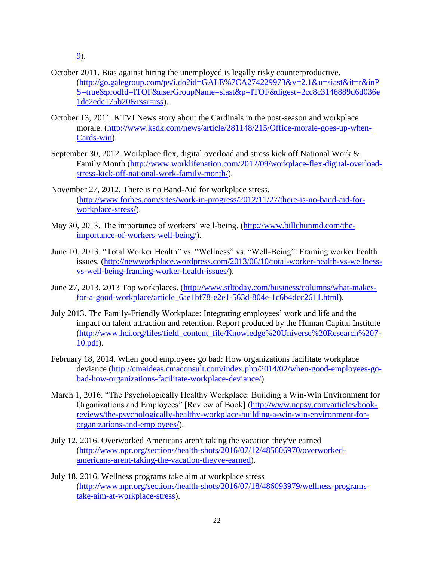[9\)](http://www.facebook.com/AmericanPsychologicalAssociation/posts/10150320180802579).

- October 2011. Bias against hiring the unemployed is legally risky counterproductive. [\(http://go.galegroup.com/ps/i.do?id=GALE%7CA274229973&v=2.1&u=siast&it=r&inP](http://go.galegroup.com/ps/i.do?id=GALE%7CA274229973&v=2.1&u=siast&it=r&inPS=true&prodId=ITOF&userGroupName=siast&p=ITOF&digest=2cc8c3146889d6d036e1dc2edc175b20&rssr=rss) [S=true&prodId=ITOF&userGroupName=siast&p=ITOF&digest=2cc8c3146889d6d036e](http://go.galegroup.com/ps/i.do?id=GALE%7CA274229973&v=2.1&u=siast&it=r&inPS=true&prodId=ITOF&userGroupName=siast&p=ITOF&digest=2cc8c3146889d6d036e1dc2edc175b20&rssr=rss) [1dc2edc175b20&rssr=rss\)](http://go.galegroup.com/ps/i.do?id=GALE%7CA274229973&v=2.1&u=siast&it=r&inPS=true&prodId=ITOF&userGroupName=siast&p=ITOF&digest=2cc8c3146889d6d036e1dc2edc175b20&rssr=rss).
- October 13, 2011. KTVI News story about the Cardinals in the post-season and workplace morale. [\(http://www.ksdk.com/news/article/281148/215/Office-morale-goes-up-when-](http://www.ksdk.com/news/article/281148/215/Office-morale-goes-up-when-Cards-win)[Cards-win\)](http://www.ksdk.com/news/article/281148/215/Office-morale-goes-up-when-Cards-win).
- September 30, 2012. Workplace flex, digital overload and stress kick off National Work & Family Month [\(http://www.worklifenation.com/2012/09/workplace-flex-digital-overload](http://www.worklifenation.com/2012/09/workplace-flex-digital-overload-stress-kick-off-national-work-family-month/)[stress-kick-off-national-work-family-month/\)](http://www.worklifenation.com/2012/09/workplace-flex-digital-overload-stress-kick-off-national-work-family-month/).
- November 27, 2012. There is no Band-Aid for workplace stress. [\(http://www.forbes.com/sites/work-in-progress/2012/11/27/there-is-no-band-aid-for](http://www.forbes.com/sites/work-in-progress/2012/11/27/there-is-no-band-aid-for-workplace-stress/)[workplace-stress/\)](http://www.forbes.com/sites/work-in-progress/2012/11/27/there-is-no-band-aid-for-workplace-stress/).
- May 30, 2013. The importance of workers' well-being. [\(http://www.billchunmd.com/the](http://www.billchunmd.com/the-importance-of-workers-well-being/)[importance-of-workers-well-being/\)](http://www.billchunmd.com/the-importance-of-workers-well-being/).
- June 10, 2013. "Total Worker Health" vs. "Wellness" vs. "Well-Being": Framing worker health issues. [\(http://newworkplace.wordpress.com/2013/06/10/total-worker-health-vs-wellness](http://newworkplace.wordpress.com/2013/06/10/total-worker-health-vs-wellness-vs-well-being-framing-worker-health-issues/)[vs-well-being-framing-worker-health-issues/\)](http://newworkplace.wordpress.com/2013/06/10/total-worker-health-vs-wellness-vs-well-being-framing-worker-health-issues/).
- June 27, 2013. 2013 Top workplaces. [\(http://www.stltoday.com/business/columns/what-makes](http://www.stltoday.com/business/columns/what-makes-for-a-good-workplace/article_6ae1bf78-e2e1-563d-804e-1c6b4dcc2611.html)[for-a-good-workplace/article\\_6ae1bf78-e2e1-563d-804e-1c6b4dcc2611.html\)](http://www.stltoday.com/business/columns/what-makes-for-a-good-workplace/article_6ae1bf78-e2e1-563d-804e-1c6b4dcc2611.html).
- July 2013. The Family-Friendly Workplace: Integrating employees' work and life and the impact on talent attraction and retention. Report produced by the Human Capital Institute [\(http://www.hci.org/files/field\\_content\\_file/Knowledge%20Universe%20Research%207-](http://www.hci.org/files/field_content_file/Knowledge%20Universe%20Research%207-10.pdf) [10.pdf\)](http://www.hci.org/files/field_content_file/Knowledge%20Universe%20Research%207-10.pdf).
- February 18, 2014. When good employees go bad: How organizations facilitate workplace deviance [\(http://cmaideas.cmaconsult.com/index.php/2014/02/when-good-employees-go](http://cmaideas.cmaconsult.com/index.php/2014/02/when-good-employees-go-bad-how-organizations-facilitate-workplace-deviance/)[bad-how-organizations-facilitate-workplace-deviance/\)](http://cmaideas.cmaconsult.com/index.php/2014/02/when-good-employees-go-bad-how-organizations-facilitate-workplace-deviance/).
- March 1, 2016. "The Psychologically Healthy Workplace: Building a Win-Win Environment for Organizations and Employees" [Review of Book] [\(http://www.nepsy.com/articles/book](http://www.nepsy.com/articles/book-reviews/the-psychologically-healthy-workplace-building-a-win-win-environment-for-organizations-and-employees/)[reviews/the-psychologically-healthy-workplace-building-a-win-win-environment-for](http://www.nepsy.com/articles/book-reviews/the-psychologically-healthy-workplace-building-a-win-win-environment-for-organizations-and-employees/)[organizations-and-employees/\)](http://www.nepsy.com/articles/book-reviews/the-psychologically-healthy-workplace-building-a-win-win-environment-for-organizations-and-employees/).
- July 12, 2016. Overworked Americans aren't taking the vacation they've earned [\(http://www.npr.org/sections/health-shots/2016/07/12/485606970/overworked](http://www.npr.org/sections/health-shots/2016/07/12/485606970/overworked-americans-arent-taking-the-vacation-theyve-earned)[americans-arent-taking-the-vacation-theyve-earned\)](http://www.npr.org/sections/health-shots/2016/07/12/485606970/overworked-americans-arent-taking-the-vacation-theyve-earned).
- July 18, 2016. Wellness programs take aim at workplace stress [\(http://www.npr.org/sections/health-shots/2016/07/18/486093979/wellness-programs](http://www.npr.org/sections/health-shots/2016/07/18/486093979/wellness-programs-take-aim-at-workplace-stress)[take-aim-at-workplace-stress\)](http://www.npr.org/sections/health-shots/2016/07/18/486093979/wellness-programs-take-aim-at-workplace-stress).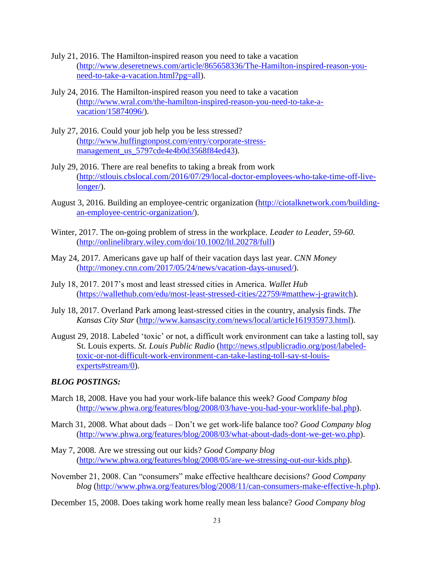- July 21, 2016. The Hamilton-inspired reason you need to take a vacation [\(http://www.deseretnews.com/article/865658336/The-Hamilton-inspired-reason-you](http://www.deseretnews.com/article/865658336/The-Hamilton-inspired-reason-you-need-to-take-a-vacation.html?pg=all)[need-to-take-a-vacation.html?pg=all\)](http://www.deseretnews.com/article/865658336/The-Hamilton-inspired-reason-you-need-to-take-a-vacation.html?pg=all).
- July 24, 2016. The Hamilton-inspired reason you need to take a vacation [\(http://www.wral.com/the-hamilton-inspired-reason-you-need-to-take-a](http://www.wral.com/the-hamilton-inspired-reason-you-need-to-take-a-vacation/15874096/)[vacation/15874096/\)](http://www.wral.com/the-hamilton-inspired-reason-you-need-to-take-a-vacation/15874096/).
- July 27, 2016. Could your job help you be less stressed? [\(http://www.huffingtonpost.com/entry/corporate-stress](http://www.huffingtonpost.com/entry/corporate-stress-management_us_5797cde4e4b0d3568f84ed43)[management\\_us\\_5797cde4e4b0d3568f84ed43\)](http://www.huffingtonpost.com/entry/corporate-stress-management_us_5797cde4e4b0d3568f84ed43).
- July 29, 2016. There are real benefits to taking a break from work [\(http://stlouis.cbslocal.com/2016/07/29/local-doctor-employees-who-take-time-off-live](http://stlouis.cbslocal.com/2016/07/29/local-doctor-employees-who-take-time-off-live-longer/)[longer/\)](http://stlouis.cbslocal.com/2016/07/29/local-doctor-employees-who-take-time-off-live-longer/).
- August 3, 2016. Building an employee-centric organization [\(http://ciotalknetwork.com/building](http://ciotalknetwork.com/building-an-employee-centric-organization/)[an-employee-centric-organization/\)](http://ciotalknetwork.com/building-an-employee-centric-organization/).
- Winter, 2017. The on-going problem of stress in the workplace. *Leader to Leader, 59-60.*  [\(http://onlinelibrary.wiley.com/doi/10.1002/ltl.20278/full\)](http://onlinelibrary.wiley.com/doi/10.1002/ltl.20278/full)
- May 24, 2017. Americans gave up half of their vacation days last year. *CNN Money* [\(http://money.cnn.com/2017/05/24/news/vacation-days-unused/\)](http://money.cnn.com/2017/05/24/news/vacation-days-unused/).
- July 18, 2017. 2017's most and least stressed cities in America. *Wallet Hub*  [\(https://wallethub.com/edu/most-least-stressed-cities/22759/#matthew-j-grawitch\)](https://wallethub.com/edu/most-least-stressed-cities/22759/#matthew-j-grawitch).
- July 18, 2017. Overland Park among least-stressed cities in the country, analysis finds. *The Kansas City Star* [\(http://www.kansascity.com/news/local/article161935973.html\)](http://www.kansascity.com/news/local/article161935973.html).
- August 29, 2018. Labeled 'toxic' or not, a difficult work environment can take a lasting toll, say St. Louis experts. *St. Louis Public Radio* [\(http://news.stlpublicradio.org/post/labeled](http://news.stlpublicradio.org/post/labeled-toxic-or-not-difficult-work-environment-can-take-lasting-toll-say-st-louis-experts#stream/0)[toxic-or-not-difficult-work-environment-can-take-lasting-toll-say-st-louis](http://news.stlpublicradio.org/post/labeled-toxic-or-not-difficult-work-environment-can-take-lasting-toll-say-st-louis-experts#stream/0)[experts#stream/0\)](http://news.stlpublicradio.org/post/labeled-toxic-or-not-difficult-work-environment-can-take-lasting-toll-say-st-louis-experts#stream/0).

#### *BLOG POSTINGS:*

- March 18, 2008. Have you had your work-life balance this week? *Good Company blog*  [\(http://www.phwa.org/features/blog/2008/03/have-you-had-your-worklife-bal.php\)](http://www.phwa.org/features/blog/2008/03/have-you-had-your-worklife-bal.php).
- March 31, 2008. What about dads Don't we get work-life balance too? *Good Company blog*  [\(http://www.phwa.org/features/blog/2008/03/what-about-dads-dont-we-get-wo.php\)](http://www.phwa.org/features/blog/2008/03/what-about-dads-dont-we-get-wo.php).
- May 7, 2008. Are we stressing out our kids? *Good Company blog* [\(http://www.phwa.org/features/blog/2008/05/are-we-stressing-out-our-kids.php\)](http://www.phwa.org/features/blog/2008/05/are-we-stressing-out-our-kids.php).
- November 21, 2008. Can "consumers" make effective healthcare decisions? *Good Company blog* [\(http://www.phwa.org/features/blog/2008/11/can-consumers-make-effective-h.php\)](http://www.phwa.org/features/blog/2008/11/can-consumers-make-effective-h.php).
- December 15, 2008. Does taking work home really mean less balance? *Good Company blog*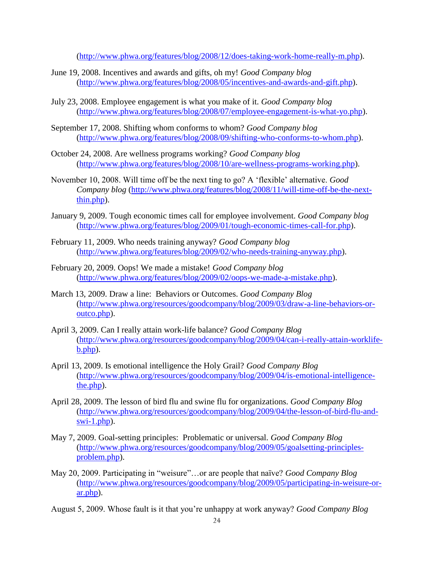[\(http://www.phwa.org/features/blog/2008/12/does-taking-work-home-really-m.php\)](http://www.phwa.org/features/blog/2008/12/does-taking-work-home-really-m.php).

- June 19, 2008. Incentives and awards and gifts, oh my! *Good Company blog* [\(http://www.phwa.org/features/blog/2008/05/incentives-and-awards-and-gift.php\)](http://www.phwa.org/features/blog/2008/05/incentives-and-awards-and-gift.php).
- July 23, 2008. Employee engagement is what you make of it. *Good Company blog*  [\(http://www.phwa.org/features/blog/2008/07/employee-engagement-is-what-yo.php\)](http://www.phwa.org/features/blog/2008/07/employee-engagement-is-what-yo.php).
- September 17, 2008. Shifting whom conforms to whom? *Good Company blog*  [\(http://www.phwa.org/features/blog/2008/09/shifting-who-conforms-to-whom.php\)](http://www.phwa.org/features/blog/2008/09/shifting-who-conforms-to-whom.php).
- October 24, 2008. Are wellness programs working? *Good Company blog*  [\(http://www.phwa.org/features/blog/2008/10/are-wellness-programs-working.php\)](http://www.phwa.org/features/blog/2008/10/are-wellness-programs-working.php).
- November 10, 2008. Will time off be the next ting to go? A 'flexible' alternative. *Good Company blog* [\(http://www.phwa.org/features/blog/2008/11/will-time-off-be-the-next](http://www.phwa.org/features/blog/2008/11/will-time-off-be-the-next-thin.php)[thin.php\)](http://www.phwa.org/features/blog/2008/11/will-time-off-be-the-next-thin.php).
- January 9, 2009. Tough economic times call for employee involvement. *Good Company blog*  [\(http://www.phwa.org/features/blog/2009/01/tough-economic-times-call-for.php\)](http://www.phwa.org/features/blog/2009/01/tough-economic-times-call-for.php).
- February 11, 2009. Who needs training anyway? *Good Company blog* [\(http://www.phwa.org/features/blog/2009/02/who-needs-training-anyway.php\)](http://www.phwa.org/features/blog/2009/02/who-needs-training-anyway.php).
- February 20, 2009. Oops! We made a mistake! *Good Company blog* [\(http://www.phwa.org/features/blog/2009/02/oops-we-made-a-mistake.php\)](http://www.phwa.org/features/blog/2009/02/oops-we-made-a-mistake.php).
- March 13, 2009. Draw a line: Behaviors or Outcomes. *Good Company Blog* [\(http://www.phwa.org/resources/goodcompany/blog/2009/03/draw-a-line-behaviors-or](http://www.phwa.org/resources/goodcompany/blog/2009/03/draw-a-line-behaviors-or-outco.php)[outco.php\)](http://www.phwa.org/resources/goodcompany/blog/2009/03/draw-a-line-behaviors-or-outco.php).
- April 3, 2009. Can I really attain work-life balance? *Good Company Blog*  [\(http://www.phwa.org/resources/goodcompany/blog/2009/04/can-i-really-attain-worklife](http://www.phwa.org/resources/goodcompany/blog/2009/04/can-i-really-attain-worklife-b.php)[b.php\)](http://www.phwa.org/resources/goodcompany/blog/2009/04/can-i-really-attain-worklife-b.php).
- April 13, 2009. Is emotional intelligence the Holy Grail? *Good Company Blog* [\(http://www.phwa.org/resources/goodcompany/blog/2009/04/is-emotional-intelligence](http://www.phwa.org/resources/goodcompany/blog/2009/04/is-emotional-intelligence-the.php)[the.php\)](http://www.phwa.org/resources/goodcompany/blog/2009/04/is-emotional-intelligence-the.php).
- April 28, 2009. The lesson of bird flu and swine flu for organizations. *Good Company Blog* [\(http://www.phwa.org/resources/goodcompany/blog/2009/04/the-lesson-of-bird-flu-and](http://www.phwa.org/resources/goodcompany/blog/2009/04/the-lesson-of-bird-flu-and-swi-1.php)[swi-1.php\)](http://www.phwa.org/resources/goodcompany/blog/2009/04/the-lesson-of-bird-flu-and-swi-1.php).
- May 7, 2009. Goal-setting principles: Problematic or universal. *Good Company Blog*  [\(http://www.phwa.org/resources/goodcompany/blog/2009/05/goalsetting-principles](http://www.phwa.org/resources/goodcompany/blog/2009/05/goalsetting-principles-problem.php)[problem.php\)](http://www.phwa.org/resources/goodcompany/blog/2009/05/goalsetting-principles-problem.php).
- May 20, 2009. Participating in "weisure"…or are people that naïve? *Good Company Blog* [\(http://www.phwa.org/resources/goodcompany/blog/2009/05/participating-in-weisure-or](http://www.phwa.org/resources/goodcompany/blog/2009/05/participating-in-weisure-or-ar.php)[ar.php\)](http://www.phwa.org/resources/goodcompany/blog/2009/05/participating-in-weisure-or-ar.php).
- August 5, 2009. Whose fault is it that you're unhappy at work anyway? *Good Company Blog*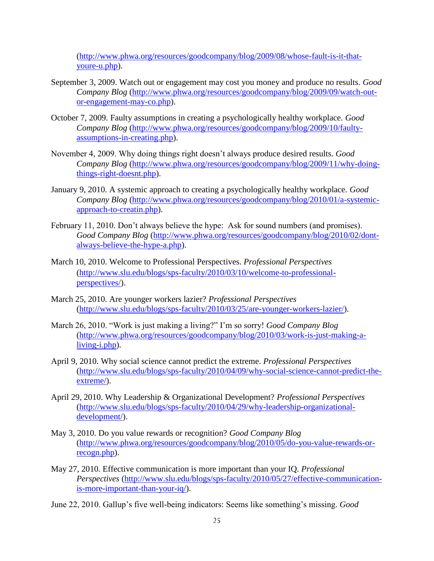[\(http://www.phwa.org/resources/goodcompany/blog/2009/08/whose-fault-is-it-that](http://www.phwa.org/resources/goodcompany/blog/2009/08/whose-fault-is-it-that-youre-u.php)[youre-u.php\)](http://www.phwa.org/resources/goodcompany/blog/2009/08/whose-fault-is-it-that-youre-u.php).

- September 3, 2009. Watch out or engagement may cost you money and produce no results. *Good Company Blog* [\(http://www.phwa.org/resources/goodcompany/blog/2009/09/watch-out](http://www.phwa.org/resources/goodcompany/blog/2009/09/watch-out-or-engagement-may-co.php)[or-engagement-may-co.php\)](http://www.phwa.org/resources/goodcompany/blog/2009/09/watch-out-or-engagement-may-co.php).
- October 7, 2009. Faulty assumptions in creating a psychologically healthy workplace. *Good Company Blog* [\(http://www.phwa.org/resources/goodcompany/blog/2009/10/faulty](http://www.phwa.org/resources/goodcompany/blog/2009/10/faulty-assumptions-in-creating.php)[assumptions-in-creating.php\)](http://www.phwa.org/resources/goodcompany/blog/2009/10/faulty-assumptions-in-creating.php).
- November 4, 2009. Why doing things right doesn't always produce desired results. *Good Company Blog* [\(http://www.phwa.org/resources/goodcompany/blog/2009/11/why-doing](http://www.phwa.org/resources/goodcompany/blog/2009/11/why-doing-things-right-doesnt.php)[things-right-doesnt.php\)](http://www.phwa.org/resources/goodcompany/blog/2009/11/why-doing-things-right-doesnt.php).
- January 9, 2010. A systemic approach to creating a psychologically healthy workplace. *Good Company Blog* [\(http://www.phwa.org/resources/goodcompany/blog/2010/01/a-systemic](http://www.phwa.org/resources/goodcompany/blog/2010/01/a-systemic-approach-to-creatin.php)[approach-to-creatin.php\)](http://www.phwa.org/resources/goodcompany/blog/2010/01/a-systemic-approach-to-creatin.php).
- February 11, 2010. Don't always believe the hype: Ask for sound numbers (and promises). *Good Company Blog* [\(http://www.phwa.org/resources/goodcompany/blog/2010/02/dont](http://www.phwa.org/resources/goodcompany/blog/2010/02/dont-always-believe-the-hype-a.php)[always-believe-the-hype-a.php\)](http://www.phwa.org/resources/goodcompany/blog/2010/02/dont-always-believe-the-hype-a.php).
- March 10, 2010. Welcome to Professional Perspectives. *Professional Perspectives*  [\(http://www.slu.edu/blogs/sps-faculty/2010/03/10/welcome-to-professional](http://www.slu.edu/blogs/sps-faculty/2010/03/10/welcome-to-professional-perspectives/)[perspectives/\)](http://www.slu.edu/blogs/sps-faculty/2010/03/10/welcome-to-professional-perspectives/).
- March 25, 2010. Are younger workers lazier? *Professional Perspectives*  [\(http://www.slu.edu/blogs/sps-faculty/2010/03/25/are-younger-workers-lazier/\)](http://www.slu.edu/blogs/sps-faculty/2010/03/25/are-younger-workers-lazier/).
- March 26, 2010. "Work is just making a living?" I'm so sorry! *Good Company Blog*  [\(http://www.phwa.org/resources/goodcompany/blog/2010/03/work-is-just-making-a](http://www.phwa.org/resources/goodcompany/blog/2010/03/work-is-just-making-a-living-i.php)[living-i.php\)](http://www.phwa.org/resources/goodcompany/blog/2010/03/work-is-just-making-a-living-i.php).
- April 9, 2010. Why social science cannot predict the extreme. *Professional Perspectives* [\(http://www.slu.edu/blogs/sps-faculty/2010/04/09/why-social-science-cannot-predict-the](http://www.slu.edu/blogs/sps-faculty/2010/04/09/why-social-science-cannot-predict-the-extreme/)[extreme/\)](http://www.slu.edu/blogs/sps-faculty/2010/04/09/why-social-science-cannot-predict-the-extreme/).
- April 29, 2010. Why Leadership & Organizational Development? *Professional Perspectives*  [\(http://www.slu.edu/blogs/sps-faculty/2010/04/29/why-leadership-organizational](http://www.slu.edu/blogs/sps-faculty/2010/04/29/why-leadership-organizational-development/)[development/\)](http://www.slu.edu/blogs/sps-faculty/2010/04/29/why-leadership-organizational-development/).
- May 3, 2010. Do you value rewards or recognition? *Good Company Blog*  [\(http://www.phwa.org/resources/goodcompany/blog/2010/05/do-you-value-rewards-or](http://www.phwa.org/resources/goodcompany/blog/2010/05/do-you-value-rewards-or-recogn.php)[recogn.php\)](http://www.phwa.org/resources/goodcompany/blog/2010/05/do-you-value-rewards-or-recogn.php).
- May 27, 2010. Effective communication is more important than your IQ. *Professional Perspectives* [\(http://www.slu.edu/blogs/sps-faculty/2010/05/27/effective-communication](http://www.slu.edu/blogs/sps-faculty/2010/05/27/effective-communication-is-more-important-than-your-iq/)[is-more-important-than-your-iq/\)](http://www.slu.edu/blogs/sps-faculty/2010/05/27/effective-communication-is-more-important-than-your-iq/).
- June 22, 2010. Gallup's five well-being indicators: Seems like something's missing. *Good*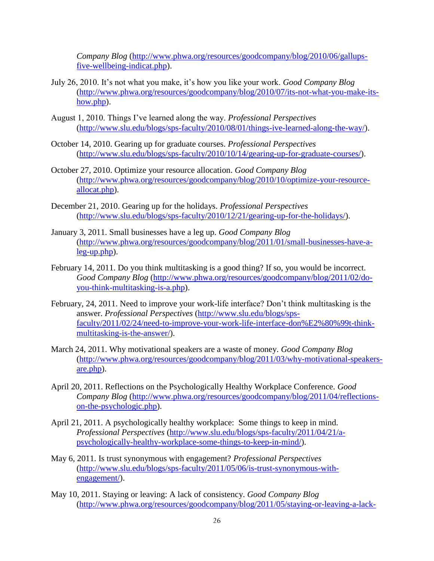*Company Blog* [\(http://www.phwa.org/resources/goodcompany/blog/2010/06/gallups](http://www.phwa.org/resources/goodcompany/blog/2010/06/gallups-five-wellbeing-indicat.php)[five-wellbeing-indicat.php\)](http://www.phwa.org/resources/goodcompany/blog/2010/06/gallups-five-wellbeing-indicat.php).

- July 26, 2010. It's not what you make, it's how you like your work. *Good Company Blog* [\(http://www.phwa.org/resources/goodcompany/blog/2010/07/its-not-what-you-make-its](http://www.phwa.org/resources/goodcompany/blog/2010/07/its-not-what-you-make-its-how.php)[how.php\)](http://www.phwa.org/resources/goodcompany/blog/2010/07/its-not-what-you-make-its-how.php).
- August 1, 2010. Things I've learned along the way. *Professional Perspectives*  [\(http://www.slu.edu/blogs/sps-faculty/2010/08/01/things-ive-learned-along-the-way/\)](http://www.slu.edu/blogs/sps-faculty/2010/08/01/things-ive-learned-along-the-way/).
- October 14, 2010. Gearing up for graduate courses. *Professional Perspectives*  [\(http://www.slu.edu/blogs/sps-faculty/2010/10/14/gearing-up-for-graduate-courses/\)](http://www.slu.edu/blogs/sps-faculty/2010/10/14/gearing-up-for-graduate-courses/).
- October 27, 2010. Optimize your resource allocation. *Good Company Blog* [\(http://www.phwa.org/resources/goodcompany/blog/2010/10/optimize-your-resource](http://www.phwa.org/resources/goodcompany/blog/2010/10/optimize-your-resource-allocat.php)[allocat.php\)](http://www.phwa.org/resources/goodcompany/blog/2010/10/optimize-your-resource-allocat.php).
- December 21, 2010. Gearing up for the holidays. *Professional Perspectives*  [\(http://www.slu.edu/blogs/sps-faculty/2010/12/21/gearing-up-for-the-holidays/\)](http://www.slu.edu/blogs/sps-faculty/2010/12/21/gearing-up-for-the-holidays/).
- January 3, 2011. Small businesses have a leg up. *Good Company Blog*  [\(http://www.phwa.org/resources/goodcompany/blog/2011/01/small-businesses-have-a](http://www.phwa.org/resources/goodcompany/blog/2011/01/small-businesses-have-a-leg-up.php)[leg-up.php\)](http://www.phwa.org/resources/goodcompany/blog/2011/01/small-businesses-have-a-leg-up.php).
- February 14, 2011. Do you think multitasking is a good thing? If so, you would be incorrect. *Good Company Blog* [\(http://www.phwa.org/resources/goodcompany/blog/2011/02/do](http://www.phwa.org/resources/goodcompany/blog/2011/02/do-you-think-multitasking-is-a.php)[you-think-multitasking-is-a.php\)](http://www.phwa.org/resources/goodcompany/blog/2011/02/do-you-think-multitasking-is-a.php).
- February, 24, 2011. Need to improve your work-life interface? Don't think multitasking is the answer. *Professional Perspectives* [\(http://www.slu.edu/blogs/sps](http://www.slu.edu/blogs/sps-faculty/2011/02/24/need-to-improve-your-work-life-interface-don%E2%80%99t-think-multitasking-is-the-answer/)[faculty/2011/02/24/need-to-improve-your-work-life-interface-don%E2%80%99t-think](http://www.slu.edu/blogs/sps-faculty/2011/02/24/need-to-improve-your-work-life-interface-don%E2%80%99t-think-multitasking-is-the-answer/)[multitasking-is-the-answer/\)](http://www.slu.edu/blogs/sps-faculty/2011/02/24/need-to-improve-your-work-life-interface-don%E2%80%99t-think-multitasking-is-the-answer/).
- March 24, 2011. Why motivational speakers are a waste of money. *Good Company Blog*  [\(http://www.phwa.org/resources/goodcompany/blog/2011/03/why-motivational-speakers](http://www.phwa.org/resources/goodcompany/blog/2011/03/why-motivational-speakers-are.php)[are.php\)](http://www.phwa.org/resources/goodcompany/blog/2011/03/why-motivational-speakers-are.php).
- April 20, 2011. Reflections on the Psychologically Healthy Workplace Conference. *Good Company Blog* [\(http://www.phwa.org/resources/goodcompany/blog/2011/04/reflections](http://www.phwa.org/resources/goodcompany/blog/2011/04/reflections-on-the-psychologic.php)[on-the-psychologic.php\)](http://www.phwa.org/resources/goodcompany/blog/2011/04/reflections-on-the-psychologic.php).
- April 21, 2011. A psychologically healthy workplace: Some things to keep in mind. *Professional Perspectives* [\(http://www.slu.edu/blogs/sps-faculty/2011/04/21/a](http://www.slu.edu/blogs/sps-faculty/2011/04/21/a-psychologically-healthy-workplace-some-things-to-keep-in-mind/)[psychologically-healthy-workplace-some-things-to-keep-in-mind/\)](http://www.slu.edu/blogs/sps-faculty/2011/04/21/a-psychologically-healthy-workplace-some-things-to-keep-in-mind/).
- May 6, 2011. Is trust synonymous with engagement? *Professional Perspectives*  [\(http://www.slu.edu/blogs/sps-faculty/2011/05/06/is-trust-synonymous-with](http://www.slu.edu/blogs/sps-faculty/2011/05/06/is-trust-synonymous-with-engagement/)[engagement/\)](http://www.slu.edu/blogs/sps-faculty/2011/05/06/is-trust-synonymous-with-engagement/).
- May 10, 2011. Staying or leaving: A lack of consistency. *Good Company Blog*  [\(http://www.phwa.org/resources/goodcompany/blog/2011/05/staying-or-leaving-a-lack-](http://www.phwa.org/resources/goodcompany/blog/2011/05/staying-or-leaving-a-lack-of-c.php)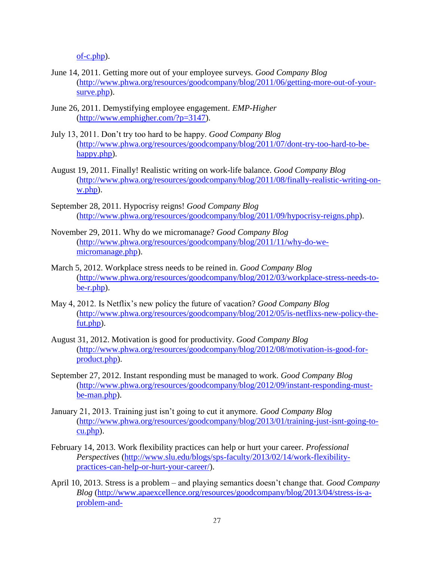[of-c.php\)](http://www.phwa.org/resources/goodcompany/blog/2011/05/staying-or-leaving-a-lack-of-c.php).

- June 14, 2011. Getting more out of your employee surveys. *Good Company Blog*  [\(http://www.phwa.org/resources/goodcompany/blog/2011/06/getting-more-out-of-your](http://www.phwa.org/resources/goodcompany/blog/2011/06/getting-more-out-of-your-surve.php)[surve.php\)](http://www.phwa.org/resources/goodcompany/blog/2011/06/getting-more-out-of-your-surve.php).
- June 26, 2011. Demystifying employee engagement. *EMP-Higher* [\(http://www.emphigher.com/?p=3147\)](http://www.emphigher.com/?p=3147).
- July 13, 2011. Don't try too hard to be happy. *Good Company Blog* [\(http://www.phwa.org/resources/goodcompany/blog/2011/07/dont-try-too-hard-to-be](http://www.phwa.org/resources/goodcompany/blog/2011/07/dont-try-too-hard-to-be-happy.php)[happy.php\)](http://www.phwa.org/resources/goodcompany/blog/2011/07/dont-try-too-hard-to-be-happy.php).
- August 19, 2011. Finally! Realistic writing on work-life balance. *Good Company Blog* [\(http://www.phwa.org/resources/goodcompany/blog/2011/08/finally-realistic-writing-on](http://www.phwa.org/resources/goodcompany/blog/2011/08/finally-realistic-writing-on-w.php)[w.php\)](http://www.phwa.org/resources/goodcompany/blog/2011/08/finally-realistic-writing-on-w.php).
- September 28, 2011. Hypocrisy reigns! *Good Company Blog* [\(http://www.phwa.org/resources/goodcompany/blog/2011/09/hypocrisy-reigns.php\)](http://www.phwa.org/resources/goodcompany/blog/2011/09/hypocrisy-reigns.php).
- November 29, 2011. Why do we micromanage? *Good Company Blog*  [\(http://www.phwa.org/resources/goodcompany/blog/2011/11/why-do-we](http://www.phwa.org/resources/goodcompany/blog/2011/11/why-do-we-micromanage.php)[micromanage.php\)](http://www.phwa.org/resources/goodcompany/blog/2011/11/why-do-we-micromanage.php).
- March 5, 2012. Workplace stress needs to be reined in. *Good Company Blog*  [\(http://www.phwa.org/resources/goodcompany/blog/2012/03/workplace-stress-needs-to](http://www.phwa.org/resources/goodcompany/blog/2012/03/workplace-stress-needs-to-be-r.php)[be-r.php\)](http://www.phwa.org/resources/goodcompany/blog/2012/03/workplace-stress-needs-to-be-r.php).
- May 4, 2012. Is Netflix's new policy the future of vacation? *Good Company Blog*  [\(http://www.phwa.org/resources/goodcompany/blog/2012/05/is-netflixs-new-policy-the](http://www.phwa.org/resources/goodcompany/blog/2012/05/is-netflixs-new-policy-the-fut.php)[fut.php\)](http://www.phwa.org/resources/goodcompany/blog/2012/05/is-netflixs-new-policy-the-fut.php).
- August 31, 2012. Motivation is good for productivity. *Good Company Blog*  [\(http://www.phwa.org/resources/goodcompany/blog/2012/08/motivation-is-good-for](http://www.phwa.org/resources/goodcompany/blog/2012/08/motivation-is-good-for-product.php)[product.php\)](http://www.phwa.org/resources/goodcompany/blog/2012/08/motivation-is-good-for-product.php).
- September 27, 2012. Instant responding must be managed to work. *Good Company Blog*  [\(http://www.phwa.org/resources/goodcompany/blog/2012/09/instant-responding-must](http://www.phwa.org/resources/goodcompany/blog/2012/09/instant-responding-must-be-man.php)[be-man.php\)](http://www.phwa.org/resources/goodcompany/blog/2012/09/instant-responding-must-be-man.php).
- January 21, 2013. Training just isn't going to cut it anymore. *Good Company Blog* [\(http://www.phwa.org/resources/goodcompany/blog/2013/01/training-just-isnt-going-to](http://www.phwa.org/resources/goodcompany/blog/2013/01/training-just-isnt-going-to-cu.php)[cu.php\)](http://www.phwa.org/resources/goodcompany/blog/2013/01/training-just-isnt-going-to-cu.php).
- February 14, 2013. Work flexibility practices can help or hurt your career. *Professional Perspectives* [\(http://www.slu.edu/blogs/sps-faculty/2013/02/14/work-flexibility](http://www.slu.edu/blogs/sps-faculty/2013/02/14/work-flexibility-practices-can-help-or-hurt-your-career/)[practices-can-help-or-hurt-your-career/\)](http://www.slu.edu/blogs/sps-faculty/2013/02/14/work-flexibility-practices-can-help-or-hurt-your-career/).
- April 10, 2013. Stress is a problem and playing semantics doesn't change that. *Good Company Blog* [\(http://www.apaexcellence.org/resources/goodcompany/blog/2013/04/stress-is-a](http://www.apaexcellence.org/resources/goodcompany/blog/2013/04/stress-is-a-problem-and-playin.php?utm_source=feedburner&utm_medium=feed&utm_campaign=Feed%3A+PHWPGoodCompanyBlog+%28Good+Company+Blog%29&utm_content=Google+Reader)[problem-and-](http://www.apaexcellence.org/resources/goodcompany/blog/2013/04/stress-is-a-problem-and-playin.php?utm_source=feedburner&utm_medium=feed&utm_campaign=Feed%3A+PHWPGoodCompanyBlog+%28Good+Company+Blog%29&utm_content=Google+Reader)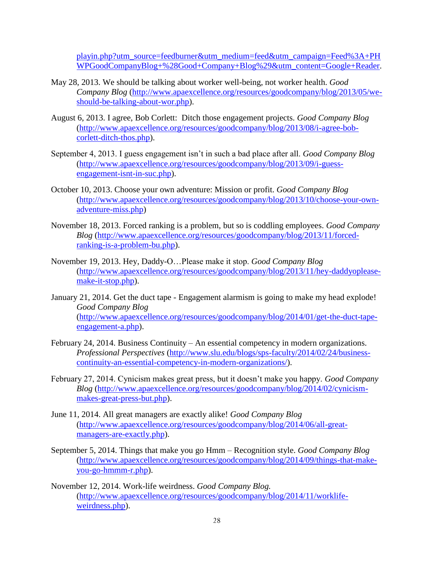[playin.php?utm\\_source=feedburner&utm\\_medium=feed&utm\\_campaign=Feed%3A+PH](http://www.apaexcellence.org/resources/goodcompany/blog/2013/04/stress-is-a-problem-and-playin.php?utm_source=feedburner&utm_medium=feed&utm_campaign=Feed%3A+PHWPGoodCompanyBlog+%28Good+Company+Blog%29&utm_content=Google+Reader) [WPGoodCompanyBlog+%28Good+Company+Blog%29&utm\\_content=Google+Reader.](http://www.apaexcellence.org/resources/goodcompany/blog/2013/04/stress-is-a-problem-and-playin.php?utm_source=feedburner&utm_medium=feed&utm_campaign=Feed%3A+PHWPGoodCompanyBlog+%28Good+Company+Blog%29&utm_content=Google+Reader)

- May 28, 2013. We should be talking about worker well-being, not worker health. *Good Company Blog* [\(http://www.apaexcellence.org/resources/goodcompany/blog/2013/05/we](http://www.apaexcellence.org/resources/goodcompany/blog/2013/05/we-should-be-talking-about-wor.php)[should-be-talking-about-wor.php\)](http://www.apaexcellence.org/resources/goodcompany/blog/2013/05/we-should-be-talking-about-wor.php).
- August 6, 2013. I agree, Bob Corlett: Ditch those engagement projects. *Good Company Blog* [\(http://www.apaexcellence.org/resources/goodcompany/blog/2013/08/i-agree-bob](http://www.apaexcellence.org/resources/goodcompany/blog/2013/08/i-agree-bob-corlett-ditch-thos.php)[corlett-ditch-thos.php\)](http://www.apaexcellence.org/resources/goodcompany/blog/2013/08/i-agree-bob-corlett-ditch-thos.php).
- September 4, 2013. I guess engagement isn't in such a bad place after all. *Good Company Blog*  [\(http://www.apaexcellence.org/resources/goodcompany/blog/2013/09/i-guess](http://www.apaexcellence.org/resources/goodcompany/blog/2013/09/i-guess-engagement-isnt-in-suc.php)[engagement-isnt-in-suc.php\)](http://www.apaexcellence.org/resources/goodcompany/blog/2013/09/i-guess-engagement-isnt-in-suc.php).
- October 10, 2013. Choose your own adventure: Mission or profit. *Good Company Blog*  [\(http://www.apaexcellence.org/resources/goodcompany/blog/2013/10/choose-your-own](http://www.apaexcellence.org/resources/goodcompany/blog/2013/10/choose-your-own-adventure-miss.php)[adventure-miss.php\)](http://www.apaexcellence.org/resources/goodcompany/blog/2013/10/choose-your-own-adventure-miss.php)
- November 18, 2013. Forced ranking is a problem, but so is coddling employees. *Good Company Blog* [\(http://www.apaexcellence.org/resources/goodcompany/blog/2013/11/forced](http://www.apaexcellence.org/resources/goodcompany/blog/2013/11/forced-ranking-is-a-problem-bu.php)[ranking-is-a-problem-bu.php\)](http://www.apaexcellence.org/resources/goodcompany/blog/2013/11/forced-ranking-is-a-problem-bu.php).
- November 19, 2013. Hey, Daddy-O…Please make it stop. *Good Company Blog*  [\(http://www.apaexcellence.org/resources/goodcompany/blog/2013/11/hey-daddyoplease](http://www.apaexcellence.org/resources/goodcompany/blog/2013/11/hey-daddyoplease-make-it-stop.php)[make-it-stop.php\)](http://www.apaexcellence.org/resources/goodcompany/blog/2013/11/hey-daddyoplease-make-it-stop.php).
- January 21, 2014. Get the duct tape Engagement alarmism is going to make my head explode! *Good Company Blog*  [\(http://www.apaexcellence.org/resources/goodcompany/blog/2014/01/get-the-duct-tape](http://www.apaexcellence.org/resources/goodcompany/blog/2014/01/get-the-duct-tape-engagement-a.php)[engagement-a.php\)](http://www.apaexcellence.org/resources/goodcompany/blog/2014/01/get-the-duct-tape-engagement-a.php).
- February 24, 2014. Business Continuity An essential competency in modern organizations. *Professional Perspectives* [\(http://www.slu.edu/blogs/sps-faculty/2014/02/24/business](http://www.slu.edu/blogs/sps-faculty/2014/02/24/business-continuity-an-essential-competency-in-modern-organizations/)[continuity-an-essential-competency-in-modern-organizations/\)](http://www.slu.edu/blogs/sps-faculty/2014/02/24/business-continuity-an-essential-competency-in-modern-organizations/).
- February 27, 2014. Cynicism makes great press, but it doesn't make you happy. *Good Company Blog* [\(http://www.apaexcellence.org/resources/goodcompany/blog/2014/02/cynicism](http://www.apaexcellence.org/resources/goodcompany/blog/2014/02/cynicism-makes-great-press-but.php)[makes-great-press-but.php\)](http://www.apaexcellence.org/resources/goodcompany/blog/2014/02/cynicism-makes-great-press-but.php).
- June 11, 2014. All great managers are exactly alike! *Good Company Blog*  [\(http://www.apaexcellence.org/resources/goodcompany/blog/2014/06/all-great](http://www.apaexcellence.org/resources/goodcompany/blog/2014/06/all-great-managers-are-exactly.php)[managers-are-exactly.php\)](http://www.apaexcellence.org/resources/goodcompany/blog/2014/06/all-great-managers-are-exactly.php).
- September 5, 2014. Things that make you go Hmm Recognition style. *Good Company Blog* [\(http://www.apaexcellence.org/resources/goodcompany/blog/2014/09/things-that-make](http://www.apaexcellence.org/resources/goodcompany/blog/2014/09/things-that-make-you-go-hmmm-r.php)[you-go-hmmm-r.php\)](http://www.apaexcellence.org/resources/goodcompany/blog/2014/09/things-that-make-you-go-hmmm-r.php).
- November 12, 2014. Work-life weirdness. *Good Company Blog.* [\(http://www.apaexcellence.org/resources/goodcompany/blog/2014/11/worklife](http://www.apaexcellence.org/resources/goodcompany/blog/2014/11/worklife-weirdness.php)[weirdness.php\)](http://www.apaexcellence.org/resources/goodcompany/blog/2014/11/worklife-weirdness.php).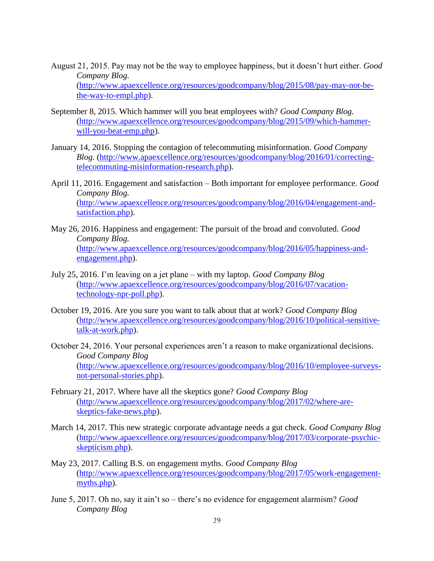- August 21, 2015. Pay may not be the way to employee happiness, but it doesn't hurt either. *Good Company Blog.*  [\(http://www.apaexcellence.org/resources/goodcompany/blog/2015/08/pay-may-not-be](http://www.apaexcellence.org/resources/goodcompany/blog/2015/08/pay-may-not-be-the-way-to-empl.php)[the-way-to-empl.php\)](http://www.apaexcellence.org/resources/goodcompany/blog/2015/08/pay-may-not-be-the-way-to-empl.php).
- September 8, 2015. Which hammer will you beat employees with? *Good Company Blog.*  [\(http://www.apaexcellence.org/resources/goodcompany/blog/2015/09/which-hammer](http://www.apaexcellence.org/resources/goodcompany/blog/2015/09/which-hammer-will-you-beat-emp.php)[will-you-beat-emp.php\)](http://www.apaexcellence.org/resources/goodcompany/blog/2015/09/which-hammer-will-you-beat-emp.php).
- January 14, 2016. Stopping the contagion of telecommuting misinformation. *Good Company Blog.* [\(http://www.apaexcellence.org/resources/goodcompany/blog/2016/01/correcting](http://www.apaexcellence.org/resources/goodcompany/blog/2016/01/correcting-telecommuting-misinformation-research.php)[telecommuting-misinformation-research.php\)](http://www.apaexcellence.org/resources/goodcompany/blog/2016/01/correcting-telecommuting-misinformation-research.php).
- April 11, 2016. Engagement and satisfaction Both important for employee performance. *Good Company Blog.*  [\(http://www.apaexcellence.org/resources/goodcompany/blog/2016/04/engagement-and](http://www.apaexcellence.org/resources/goodcompany/blog/2016/04/engagement-and-satisfaction.php)[satisfaction.php\)](http://www.apaexcellence.org/resources/goodcompany/blog/2016/04/engagement-and-satisfaction.php).
- May 26, 2016. Happiness and engagement: The pursuit of the broad and convoluted. *Good Company Blog.*  [\(http://www.apaexcellence.org/resources/goodcompany/blog/2016/05/happiness-and](http://www.apaexcellence.org/resources/goodcompany/blog/2016/05/happiness-and-engagement.php)[engagement.php\)](http://www.apaexcellence.org/resources/goodcompany/blog/2016/05/happiness-and-engagement.php).
- July 25, 2016. I'm leaving on a jet plane with my laptop. *Good Company Blog* [\(http://www.apaexcellence.org/resources/goodcompany/blog/2016/07/vacation](http://www.apaexcellence.org/resources/goodcompany/blog/2016/07/vacation-technology-npr-poll.php)[technology-npr-poll.php\)](http://www.apaexcellence.org/resources/goodcompany/blog/2016/07/vacation-technology-npr-poll.php).
- October 19, 2016. Are you sure you want to talk about that at work? *Good Company Blog*  [\(http://www.apaexcellence.org/resources/goodcompany/blog/2016/10/political-sensitive](http://www.apaexcellence.org/resources/goodcompany/blog/2016/10/political-sensitive-talk-at-work.php)[talk-at-work.php\)](http://www.apaexcellence.org/resources/goodcompany/blog/2016/10/political-sensitive-talk-at-work.php).
- October 24, 2016. Your personal experiences aren't a reason to make organizational decisions. *Good Company Blog*  [\(http://www.apaexcellence.org/resources/goodcompany/blog/2016/10/employee-surveys](http://www.apaexcellence.org/resources/goodcompany/blog/2016/10/employee-surveys-not-personal-stories.php)[not-personal-stories.php\)](http://www.apaexcellence.org/resources/goodcompany/blog/2016/10/employee-surveys-not-personal-stories.php).
- February 21, 2017. Where have all the skeptics gone? *Good Company Blog*  [\(http://www.apaexcellence.org/resources/goodcompany/blog/2017/02/where-are](http://www.apaexcellence.org/resources/goodcompany/blog/2017/02/where-are-skeptics-fake-news.php)[skeptics-fake-news.php\)](http://www.apaexcellence.org/resources/goodcompany/blog/2017/02/where-are-skeptics-fake-news.php).
- March 14, 2017. This new strategic corporate advantage needs a gut check. *Good Company Blog*  [\(http://www.apaexcellence.org/resources/goodcompany/blog/2017/03/corporate-psychic](http://www.apaexcellence.org/resources/goodcompany/blog/2017/03/corporate-psychic-skepticism.php)[skepticism.php\)](http://www.apaexcellence.org/resources/goodcompany/blog/2017/03/corporate-psychic-skepticism.php).
- May 23, 2017. Calling B.S. on engagement myths. *Good Company Blog*  [\(http://www.apaexcellence.org/resources/goodcompany/blog/2017/05/work-engagement](http://www.apaexcellence.org/resources/goodcompany/blog/2017/05/work-engagement-myths.php)[myths.php\)](http://www.apaexcellence.org/resources/goodcompany/blog/2017/05/work-engagement-myths.php).
- June 5, 2017. Oh no, say it ain't so there's no evidence for engagement alarmism? *Good Company Blog*